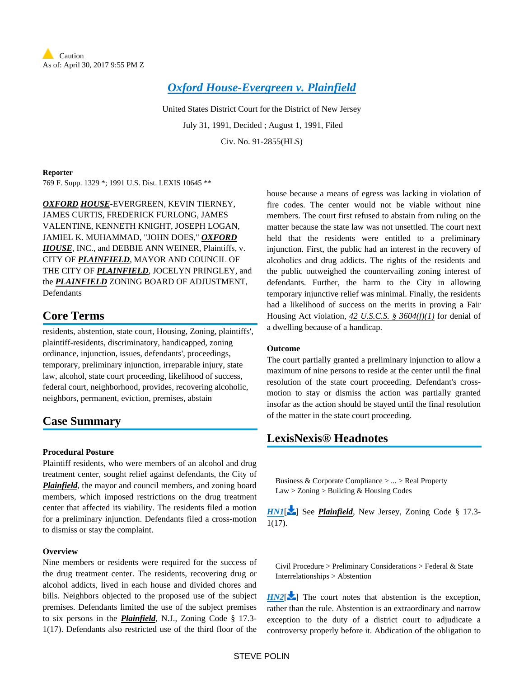*[Oxford House-Evergreen v. Plainfield](https://advance.lexis.com/api/document?collection=cases&id=urn:contentItem:3S4N-BV70-001T-7071-00000-00&context=)*

United States District Court for the District of New Jersey July 31, 1991, Decided ; August 1, 1991, Filed Civ. No. 91-2855(HLS)

### **Reporter**

769 F. Supp. 1329 \*; 1991 U.S. Dist. LEXIS 10645 \*\*

*OXFORD HOUSE*-EVERGREEN, KEVIN TIERNEY, JAMES CURTIS, FREDERICK FURLONG, JAMES VALENTINE, KENNETH KNIGHT, JOSEPH LOGAN, JAMIEL K. MUHAMMAD, "JOHN DOES," *OXFORD HOUSE*, INC., and DEBBIE ANN WEINER, Plaintiffs, v. CITY OF *PLAINFIELD*, MAYOR AND COUNCIL OF THE CITY OF *PLAINFIELD*, JOCELYN PRINGLEY, and the *PLAINFIELD* ZONING BOARD OF ADJUSTMENT, Defendants

# **Core Terms**

residents, abstention, state court, Housing, Zoning, plaintiffs', plaintiff-residents, discriminatory, handicapped, zoning ordinance, injunction, issues, defendants', proceedings, temporary, preliminary injunction, irreparable injury, state law, alcohol, state court proceeding, likelihood of success, federal court, neighborhood, provides, recovering alcoholic, neighbors, permanent, eviction, premises, abstain

# **Case Summary**

## **Procedural Posture**

Plaintiff residents, who were members of an alcohol and drug treatment center, sought relief against defendants, the City of *Plainfield*, the mayor and council members, and zoning board members, which imposed restrictions on the drug treatment center that affected its viability. The residents filed a motion for a preliminary injunction. Defendants filed a cross-motion to dismiss or stay the complaint.

## **Overview**

Nine members or residents were required for the success of the drug treatment center. The residents, recovering drug or alcohol addicts, lived in each house and divided chores and bills. Neighbors objected to the proposed use of the subject premises. Defendants limited the use of the subject premises to six persons in the *Plainfield*, N.J., Zoning Code § 17.3- 1(17). Defendants also restricted use of the third floor of the

house because a means of egress was lacking in violation of fire codes. The center would not be viable without nine members. The court first refused to abstain from ruling on the matter because the state law was not unsettled. The court next held that the residents were entitled to a preliminary injunction. First, the public had an interest in the recovery of alcoholics and drug addicts. The rights of the residents and the public outweighed the countervailing zoning interest of defendants. Further, the harm to the City in allowing temporary injunctive relief was minimal. Finally, the residents had a likelihood of success on the merits in proving a Fair Housing Act violation, *42 U.S.C.S. § 3604(f)(1)* for denial of a dwelling because of a handicap.

# **Outcome**

The court partially granted a preliminary injunction to allow a maximum of nine persons to reside at the center until the final resolution of the state court proceeding. Defendant's crossmotion to stay or dismiss the action was partially granted insofar as the action should be stayed until the final resolution of the matter in the state court proceeding.

# <span id="page-0-0"></span>**LexisNexis® Headnotes**

Business & Corporate Compliance > ... > Real Property Law > Zoning > Building & Housing Codes

<span id="page-0-1"></span>*[HN1](https://advance.lexis.com/api/document?collection=cases&id=urn:contentItem:3S4N-BV70-001T-7071-00000-00&context=&link=LNHNREFclscc1)*[\[](#page-4-0)<sup>2</sup>] See *Plainfield*, New Jersey, Zoning Code § 17.3-1(17).

Civil Procedure > Preliminary Considerations > Federal & State Interrelationships > Abstention

 $H N2$ [\[](#page-5-0) $\sim$ ] The court notes that abstention is the exception, rather than the rule. Abstention is an extraordinary and narrow exception to the duty of a district court to adjudicate a controversy properly before it. Abdication of the obligation to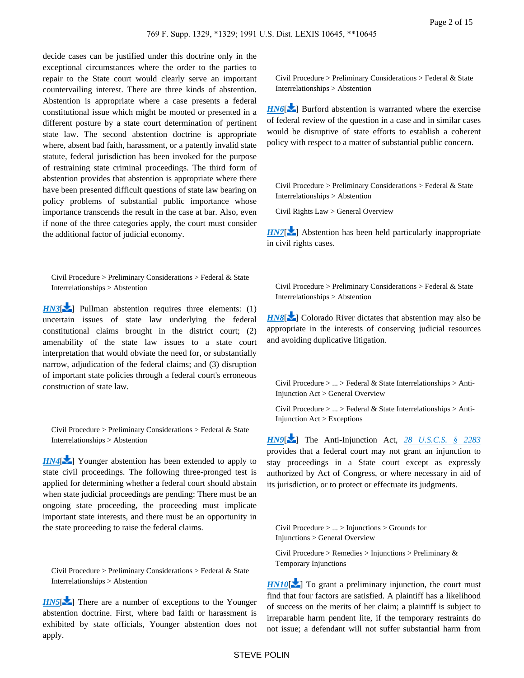decide cases can be justified under this doctrine only in the exceptional circumstances where the order to the parties to repair to the State court would clearly serve an important countervailing interest. There are three kinds of abstention. Abstention is appropriate where a case presents a federal constitutional issue which might be mooted or presented in a different posture by a state court determination of pertinent state law. The second abstention doctrine is appropriate where, absent bad faith, harassment, or a patently invalid state statute, federal jurisdiction has been invoked for the purpose of restraining state criminal proceedings. The third form of abstention provides that abstention is appropriate where there have been presented difficult questions of state law bearing on policy problems of substantial public importance whose importance transcends the result in the case at bar. Also, even if none of the three categories apply, the court must consider the additional factor of judicial economy.

<span id="page-1-0"></span>Civil Procedure > Preliminary Considerations > Federal & State Interrelationships > Abstention

*[HN3](https://advance.lexis.com/api/document?collection=cases&id=urn:contentItem:3S4N-BV70-001T-7071-00000-00&context=&link=LNHNREFclscc3)*[\[](#page-5-1) $\blacktriangleright$ ] Pullman abstention requires three elements: (1) uncertain issues of state law underlying the federal constitutional claims brought in the district court; (2) amenability of the state law issues to a state court interpretation that would obviate the need for, or substantially narrow, adjudication of the federal claims; and (3) disruption of important state policies through a federal court's erroneous construction of state law.

Civil Procedure > Preliminary Considerations > Federal & State Interrelationships > Abstention

*[HN4](https://advance.lexis.com/api/document?collection=cases&id=urn:contentItem:3S4N-BV70-001T-7071-00000-00&context=&link=LNHNREFclscc4)*<sup>[\[](#page-7-0)2]</sup> Younger abstention has been extended to apply to state civil proceedings. The following three-pronged test is applied for determining whether a federal court should abstain when state judicial proceedings are pending: There must be an ongoing state proceeding, the proceeding must implicate important state interests, and there must be an opportunity in the state proceeding to raise the federal claims.

Civil Procedure > Preliminary Considerations > Federal & State Interrelationships > Abstention

*[HN5](https://advance.lexis.com/api/document?collection=cases&id=urn:contentItem:3S4N-BV70-001T-7071-00000-00&context=&link=LNHNREFclscc5)*[\[](#page-7-1) $\bullet$ ] There are a number of exceptions to the Younger abstention doctrine. First, where bad faith or harassment is exhibited by state officials, Younger abstention does not apply.

Civil Procedure > Preliminary Considerations > Federal & State Interrelationships > Abstention

*[HN6](https://advance.lexis.com/api/document?collection=cases&id=urn:contentItem:3S4N-BV70-001T-7071-00000-00&context=&link=LNHNREFclscc6)*<sup>[\[](#page-9-0)22</sup>] Burford abstention is warranted where the exercise of federal review of the question in a case and in similar cases would be disruptive of state efforts to establish a coherent policy with respect to a matter of substantial public concern.

Civil Procedure > Preliminary Considerations > Federal & State Interrelationships > Abstention

Civil Rights Law > General Overview

*[HN7](https://advance.lexis.com/api/document?collection=cases&id=urn:contentItem:3S4N-BV70-001T-7071-00000-00&context=&link=LNHNREFclscc7)*<sup>[\[](#page-9-1)22</sup>] Abstention has been held particularly inappropriate in civil rights cases.

Civil Procedure > Preliminary Considerations > Federal & State Interrelationships > Abstention

<span id="page-1-1"></span>**[HN8](https://advance.lexis.com/api/document?collection=cases&id=urn:contentItem:3S4N-BV70-001T-7071-00000-00&context=&link=LNHNREFclscc8)[\[](#page-9-2)** ] Colorado River dictates that abstention may also be appropriate in the interests of conserving judicial resources and avoiding duplicative litigation.

Civil Procedure > ... > Federal & State Interrelationships > Anti-Injunction Act > General Overview

Civil Procedure > ... > Federal & State Interrelationships > Anti-Injunction Act > Exceptions

*[HN9](https://advance.lexis.com/api/document?collection=cases&id=urn:contentItem:3S4N-BV70-001T-7071-00000-00&context=&link=LNHNREFclscc9)*[\[](#page-10-0) ] The Anti-Injunction Act, *[28 U.S.C.S. § 2283](https://advance.lexis.com/api/document?collection=statutes-legislation&id=urn:contentItem:4YF7-GW11-NRF4-41P1-00000-00&context=)* provides that a federal court may not grant an injunction to stay proceedings in a State court except as expressly authorized by Act of Congress, or where necessary in aid of its jurisdiction, or to protect or effectuate its judgments.

<span id="page-1-2"></span>Civil Procedure > ... > Injunctions > Grounds for Injunctions > General Overview

Civil Procedure > Remedies > Injunctions > Preliminary & Temporary Injunctions

*[HN10](https://advance.lexis.com/api/document?collection=cases&id=urn:contentItem:3S4N-BV70-001T-7071-00000-00&context=&link=LNHNREFclscc10)*[\[](#page-10-1) $\blacktriangleright$ ] To grant a preliminary injunction, the court must find that four factors are satisfied. A plaintiff has a likelihood of success on the merits of her claim; a plaintiff is subject to irreparable harm pendent lite, if the temporary restraints do not issue; a defendant will not suffer substantial harm from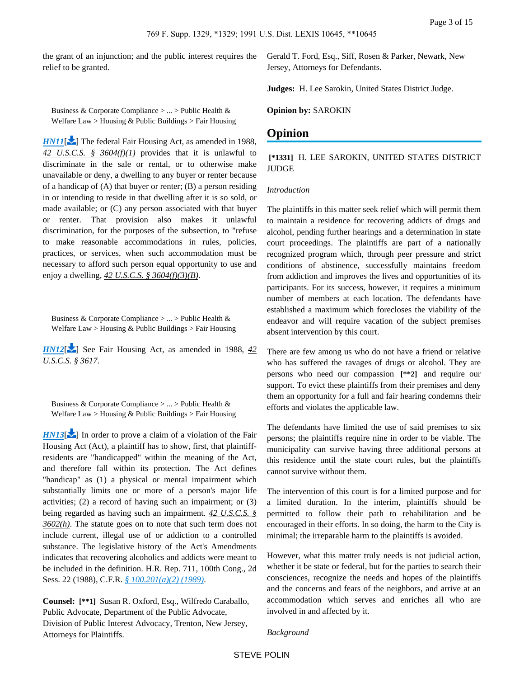<span id="page-2-0"></span>the grant of an injunction; and the public interest requires the relief to be granted.

Business & Corporate Compliance > ... > Public Health & Welfare Law > Housing & Public Buildings > Fair Housing

*[HN11](https://advance.lexis.com/api/document?collection=cases&id=urn:contentItem:3S4N-BV70-001T-7071-00000-00&context=&link=LNHNREFclscc11)*[\[](#page-10-2) $\blacktriangleright$ ] The federal Fair Housing Act, as amended in 1988, *42 U.S.C.S. § 3604(f)(1)* provides that it is unlawful to discriminate in the sale or rental, or to otherwise make unavailable or deny, a dwelling to any buyer or renter because of a handicap of (A) that buyer or renter; (B) a person residing in or intending to reside in that dwelling after it is so sold, or made available; or (C) any person associated with that buyer or renter. That provision also makes it unlawful discrimination, for the purposes of the subsection, to "refuse to make reasonable accommodations in rules, policies, practices, or services, when such accommodation must be necessary to afford such person equal opportunity to use and enjoy a dwelling, *42 U.S.C.S. § 3604(f)(3)(B)*.

<span id="page-2-1"></span>Business & Corporate Compliance > ... > Public Health & Welfare Law > Housing & Public Buildings > Fair Housing

<span id="page-2-2"></span>*[HN12](https://advance.lexis.com/api/document?collection=cases&id=urn:contentItem:3S4N-BV70-001T-7071-00000-00&context=&link=LNHNREFclscc12)*<sup>[\[](#page-10-3)2]</sup> See Fair Housing Act, as amended in 1988, 42 *U.S.C.S. § 3617*.

Business & Corporate Compliance > ... > Public Health & Welfare Law > Housing & Public Buildings > Fair Housing

*[HN13](https://advance.lexis.com/api/document?collection=cases&id=urn:contentItem:3S4N-BV70-001T-7071-00000-00&context=&link=LNHNREFclscc13)*[\[](#page-10-4) $\blacktriangleright$ ] In order to prove a claim of a violation of the Fair Housing Act (Act), a plaintiff has to show, first, that plaintiffresidents are "handicapped" within the meaning of the Act, and therefore fall within its protection. The Act defines "handicap" as (1) a physical or mental impairment which substantially limits one or more of a person's major life activities; (2) a record of having such an impairment; or (3) being regarded as having such an impairment. *42 U.S.C.S. § 3602(h)*. The statute goes on to note that such term does not include current, illegal use of or addiction to a controlled substance. The legislative history of the Act's Amendments indicates that recovering alcoholics and addicts were meant to be included in the definition. H.R. Rep. 711, 100th Cong., 2d Sess. 22 (1988), C.F.R. *[§ 100.201\(a\)\(2\) \(1989\)](https://advance.lexis.com/api/document?collection=administrative-codes&id=urn:contentItem:5MD7-1KX0-008G-Y3M4-00000-00&context=)*.

**Counsel: [\*\*1]** Susan R. Oxford, Esq., Wilfredo Caraballo, Public Advocate, Department of the Public Advocate, Division of Public Interest Advocacy, Trenton, New Jersey, Attorneys for Plaintiffs.

Gerald T. Ford, Esq., Siff, Rosen & Parker, Newark, New Jersey, Attorneys for Defendants.

**Judges:** H. Lee Sarokin, United States District Judge.

**Opinion by:** SAROKIN

# **Opinion**

# **[\*1331]** H. LEE SAROKIN, UNITED STATES DISTRICT **JUDGE**

### *Introduction*

The plaintiffs in this matter seek relief which will permit them to maintain a residence for recovering addicts of drugs and alcohol, pending further hearings and a determination in state court proceedings. The plaintiffs are part of a nationally recognized program which, through peer pressure and strict conditions of abstinence, successfully maintains freedom from addiction and improves the lives and opportunities of its participants. For its success, however, it requires a minimum number of members at each location. The defendants have established a maximum which forecloses the viability of the endeavor and will require vacation of the subject premises absent intervention by this court.

There are few among us who do not have a friend or relative who has suffered the ravages of drugs or alcohol. They are persons who need our compassion **[\*\*2]** and require our support. To evict these plaintiffs from their premises and deny them an opportunity for a full and fair hearing condemns their efforts and violates the applicable law.

The defendants have limited the use of said premises to six persons; the plaintiffs require nine in order to be viable. The municipality can survive having three additional persons at this residence until the state court rules, but the plaintiffs cannot survive without them.

The intervention of this court is for a limited purpose and for a limited duration. In the interim, plaintiffs should be permitted to follow their path to rehabilitation and be encouraged in their efforts. In so doing, the harm to the City is minimal; the irreparable harm to the plaintiffs is avoided.

However, what this matter truly needs is not judicial action, whether it be state or federal, but for the parties to search their consciences, recognize the needs and hopes of the plaintiffs and the concerns and fears of the neighbors, and arrive at an accommodation which serves and enriches all who are involved in and affected by it.

*Background*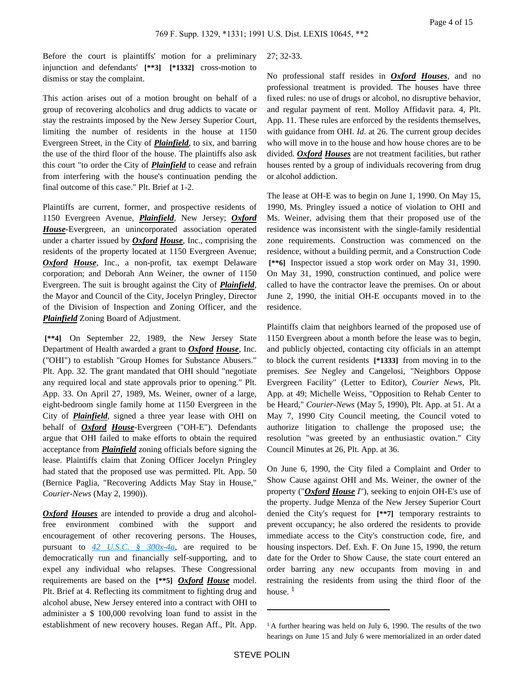Before the court is plaintiffs' motion for a preliminary injunction and defendants' **[\*\*3] [\*1332]** cross-motion to dismiss or stay the complaint.

This action arises out of a motion brought on behalf of a group of recovering alcoholics and drug addicts to vacate or stay the restraints imposed by the New Jersey Superior Court, limiting the number of residents in the house at 1150 Evergreen Street, in the City of *Plainfield*, to six, and barring the use of the third floor of the house. The plaintiffs also ask this court "to order the City of *Plainfield* to cease and refrain from interfering with the house's continuation pending the final outcome of this case." Plt. Brief at 1-2.

Plaintiffs are current, former, and prospective residents of 1150 Evergreen Avenue, *Plainfield*, New Jersey; *Oxford House*-Evergreen, an unincorporated association operated under a charter issued by *Oxford House*, Inc., comprising the residents of the property located at 1150 Evergreen Avenue; *Oxford House*, Inc., a non-profit, tax exempt Delaware corporation; and Deborah Ann Weiner, the owner of 1150 Evergreen. The suit is brought against the City of *Plainfield*, the Mayor and Council of the City, Jocelyn Pringley, Director of the Division of Inspection and Zoning Officer, and the *Plainfield* Zoning Board of Adjustment.

 **[\*\*4]** On September 22, 1989, the New Jersey State Department of Health awarded a grant to *Oxford House*, Inc. ("OHI") to establish "Group Homes for Substance Abusers." Plt. App. 32. The grant mandated that OHI should "negotiate any required local and state approvals prior to opening." Plt. App. 33. On April 27, 1989, Ms. Weiner, owner of a large, eight-bedroom single family home at 1150 Evergreen in the City of *Plainfield*, signed a three year lease with OHI on behalf of *Oxford House*-Evergreen ("OH-E"). Defendants argue that OHI failed to make efforts to obtain the required acceptance from *Plainfield* zoning officials before signing the lease. Plaintiffs claim that Zoning Officer Jocelyn Pringley had stated that the proposed use was permitted. Plt. App. 50 (Bernice Paglia, "Recovering Addicts May Stay in House," *Courier-News* (May 2, 1990)).

*Oxford Houses* are intended to provide a drug and alcoholfree environment combined with the support and encouragement of other recovering persons. The Houses, pursuant to *[42 U.S.C. § 300x-4a](https://advance.lexis.com/api/document?collection=statutes-legislation&id=urn:contentItem:4YF7-GNM1-NRF4-408V-00000-00&context=)*, are required to be democratically run and financially self-supporting, and to expel any individual who relapses. These Congressional requirements are based on the **[\*\*5]** *Oxford House* model. Plt. Brief at 4. Reflecting its commitment to fighting drug and alcohol abuse, New Jersey entered into a contract with OHI to administer a \$ 100,000 revolving loan fund to assist in the establishment of new recovery houses. Regan Aff., Plt. App.

## 27; 32-33.

No professional staff resides in *Oxford Houses*, and no professional treatment is provided. The houses have three fixed rules: no use of drugs or alcohol, no disruptive behavior, and regular payment of rent. Molloy Affidavit para. 4, Plt. App. 11. These rules are enforced by the residents themselves, with guidance from OHI. *Id*. at 26. The current group decides who will move in to the house and how house chores are to be divided. *Oxford Houses* are not treatment facilities, but rather houses rented by a group of individuals recovering from drug or alcohol addiction.

The lease at OH-E was to begin on June 1, 1990. On May 15, 1990, Ms. Pringley issued a notice of violation to OHI and Ms. Weiner, advising them that their proposed use of the residence was inconsistent with the single-family residential zone requirements. Construction was commenced on the residence, without a building permit, and a Construction Code  **[\*\*6]** Inspector issued a stop work order on May 31, 1990. On May 31, 1990, construction continued, and police were called to have the contractor leave the premises. On or about June 2, 1990, the initial OH-E occupants moved in to the residence.

Plaintiffs claim that neighbors learned of the proposed use of 1150 Evergreen about a month before the lease was to begin, and publicly objected, contacting city officials in an attempt to block the current residents **[\*1333]** from moving in to the premises. *See* Negley and Cangelosi, "Neighbors Oppose Evergreen Facility" (Letter to Editor), *Courier News*, Plt. App. at 49; Michelle Weiss, "Opposition to Rehab Center to be Heard," *Courier-News* (May 5, 1990), Plt. App. at 51. At a May 7, 1990 City Council meeting, the Council voted to authorize litigation to challenge the proposed use; the resolution "was greeted by an enthusiastic ovation." City Council Minutes at 26, Plt. App. at 36.

On June 6, 1990, the City filed a Complaint and Order to Show Cause against OHI and Ms. Weiner, the owner of the property ("*Oxford House I*"), seeking to enjoin OH-E's use of the property. Judge Menza of the New Jersey Superior Court denied the City's request for **[\*\*7]** temporary restraints to prevent occupancy; he also ordered the residents to provide immediate access to the City's construction code, fire, and housing inspectors. Def. Exh. F. On June 15, 1990, the return date for the Order to Show Cause, the state court entered an order barring any new occupants from moving in and restraining the residents from using the third floor of the house.  $<sup>1</sup>$ </sup>

<sup>&</sup>lt;sup>1</sup> A further hearing was held on July 6, 1990. The results of the two hearings on June 15 and July 6 were memorialized in an order dated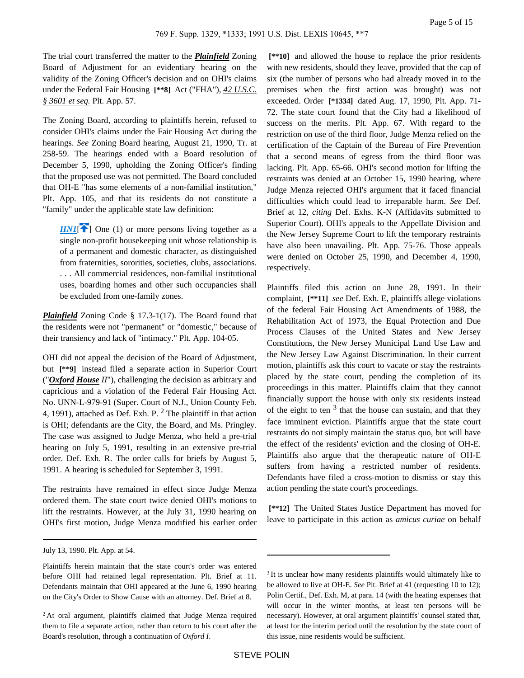The trial court transferred the matter to the *Plainfield* Zoning Board of Adjustment for an evidentiary hearing on the validity of the Zoning Officer's decision and on OHI's claims under the Federal Fair Housing **[\*\*8]** Act ("FHA"), *42 U.S.C. § 3601 et seq.* Plt. App. 57.

The Zoning Board, according to plaintiffs herein, refused to consider OHI's claims under the Fair Housing Act during the hearings. *See* Zoning Board hearing, August 21, 1990, Tr. at 258-59. The hearings ended with a Board resolution of December 5, 1990, upholding the Zoning Officer's finding that the proposed use was not permitted. The Board concluded that OH-E "has some elements of a non-familial institution," Plt. App. 105, and that its residents do not constitute a "family" under the applicable state law definition:

<span id="page-4-0"></span> $HNI$ <sup>[\[](#page-0-0)2]</sup> One (1) or more persons living together as a single non-profit housekeeping unit whose relationship is of a permanent and domestic character, as distinguished from fraternities, sororities, societies, clubs, associations. . . . All commercial residences, non-familial institutional uses, boarding homes and other such occupancies shall be excluded from one-family zones.

*Plainfield* Zoning Code § 17.3-1(17). The Board found that the residents were not "permanent" or "domestic," because of their transiency and lack of "intimacy." Plt. App. 104-05.

OHI did not appeal the decision of the Board of Adjustment, but **[\*\*9]** instead filed a separate action in Superior Court ("*Oxford House II*"), challenging the decision as arbitrary and capricious and a violation of the Federal Fair Housing Act. No. UNN-L-979-91 (Super. Court of N.J., Union County Feb. 4, 1991), attached as Def. Exh. P.  $<sup>2</sup>$  The plaintiff in that action</sup> is OHI; defendants are the City, the Board, and Ms. Pringley. The case was assigned to Judge Menza, who held a pre-trial hearing on July 5, 1991, resulting in an extensive pre-trial order. Def. Exh. R. The order calls for briefs by August 5, 1991. A hearing is scheduled for September 3, 1991.

The restraints have remained in effect since Judge Menza ordered them. The state court twice denied OHI's motions to lift the restraints. However, at the July 31, 1990 hearing on OHI's first motion, Judge Menza modified his earlier order

 **[\*\*10]** and allowed the house to replace the prior residents with new residents, should they leave, provided that the cap of six (the number of persons who had already moved in to the premises when the first action was brought) was not exceeded. Order **[\*1334]** dated Aug. 17, 1990, Plt. App. 71- 72. The state court found that the City had a likelihood of success on the merits. Plt. App. 67. With regard to the restriction on use of the third floor, Judge Menza relied on the certification of the Captain of the Bureau of Fire Prevention that a second means of egress from the third floor was lacking. Plt. App. 65-66. OHI's second motion for lifting the restraints was denied at an October 15, 1990 hearing, where Judge Menza rejected OHI's argument that it faced financial difficulties which could lead to irreparable harm. *See* Def. Brief at 12, *citing* Def. Exhs. K-N (Affidavits submitted to Superior Court). OHI's appeals to the Appellate Division and the New Jersey Supreme Court to lift the temporary restraints have also been unavailing. Plt. App. 75-76. Those appeals were denied on October 25, 1990, and December 4, 1990, respectively.

Plaintiffs filed this action on June 28, 1991. In their complaint, **[\*\*11]** *see* Def. Exh. E, plaintiffs allege violations of the federal Fair Housing Act Amendments of 1988, the Rehabilitation Act of 1973, the Equal Protection and Due Process Clauses of the United States and New Jersey Constitutions, the New Jersey Municipal Land Use Law and the New Jersey Law Against Discrimination. In their current motion, plaintiffs ask this court to vacate or stay the restraints placed by the state court, pending the completion of its proceedings in this matter. Plaintiffs claim that they cannot financially support the house with only six residents instead of the eight to ten  $3$  that the house can sustain, and that they face imminent eviction. Plaintiffs argue that the state court restraints do not simply maintain the status quo, but will have the effect of the residents' eviction and the closing of OH-E. Plaintiffs also argue that the therapeutic nature of OH-E suffers from having a restricted number of residents. Defendants have filed a cross-motion to dismiss or stay this action pending the state court's proceedings.

 **[\*\*12]** The United States Justice Department has moved for leave to participate in this action as *amicus curiae* on behalf

July 13, 1990. Plt. App. at 54.

Plaintiffs herein maintain that the state court's order was entered before OHI had retained legal representation. Plt. Brief at 11. Defendants maintain that OHI appeared at the June 6, 1990 hearing on the City's Order to Show Cause with an attorney. Def. Brief at 8.

<sup>&</sup>lt;sup>2</sup> At oral argument, plaintiffs claimed that Judge Menza required them to file a separate action, rather than return to his court after the Board's resolution, through a continuation of *Oxford I*.

<sup>&</sup>lt;sup>3</sup> It is unclear how many residents plaintiffs would ultimately like to be allowed to live at OH-E. *See* Plt. Brief at 41 (requesting 10 to 12); Polin Certif., Def. Exh. M, at para. 14 (with the heating expenses that will occur in the winter months, at least ten persons will be necessary). However, at oral argument plaintiffs' counsel stated that, at least for the interim period until the resolution by the state court of this issue, nine residents would be sufficient.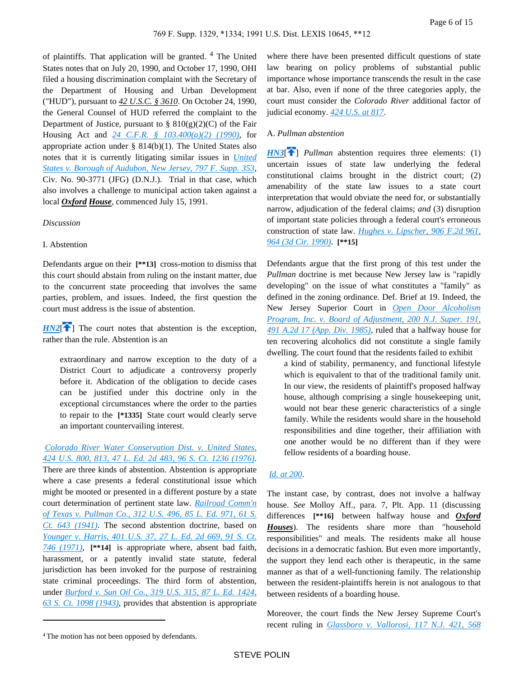of plaintiffs. That application will be granted. <sup>4</sup> The United States notes that on July 20, 1990, and October 17, 1990, OHI filed a housing discrimination complaint with the Secretary of the Department of Housing and Urban Development ("HUD"), pursuant to *42 U.S.C. § 3610*. On October 24, 1990, the General Counsel of HUD referred the complaint to the Department of Justice, pursuant to  $\S 810(g)(2)(C)$  of the Fair Housing Act and *[24 C.F.R. § 103.400\(a\)\(2\) \(1990\)](https://advance.lexis.com/api/document?collection=administrative-codes&id=urn:contentItem:5D2S-NSS0-008G-Y2FJ-00000-00&context=)*, for appropriate action under § 814(b)(1). The United States also notes that it is currently litigating similar issues in *[United](https://advance.lexis.com/api/document?collection=cases&id=urn:contentItem:3S4N-B8H0-001T-7304-00000-00&context=)  [States v. Borough of Audubon, New Jersey, 797 F. Supp. 353](https://advance.lexis.com/api/document?collection=cases&id=urn:contentItem:3S4N-B8H0-001T-7304-00000-00&context=)*, Civ. No. 90-3771 (JFG) (D.N.J.). Trial in that case, which also involves a challenge to municipal action taken against a local *Oxford House*, commenced July 15, 1991.

#### *Discussion*

# I. Abstention

Defendants argue on their **[\*\*13]** cross-motion to dismiss that this court should abstain from ruling on the instant matter, due to the concurrent state proceeding that involves the same parties, problem, and issues. Indeed, the first question the court must address is the issue of abstention.

<span id="page-5-0"></span> $HN2$ <sup>[\[](#page-0-1) $\uparrow$ </sup>] The court notes that abstention is the exception, rather than the rule. Abstention is an

extraordinary and narrow exception to the duty of a District Court to adjudicate a controversy properly before it. Abdication of the obligation to decide cases can be justified under this doctrine only in the exceptional circumstances where the order to the parties to repair to the **[\*1335]** State court would clearly serve an important countervailing interest.

# *[Colorado River Water Conservation Dist. v. United States,](https://advance.lexis.com/api/document?collection=cases&id=urn:contentItem:3S4X-9YH0-003B-S3H5-00000-00&context=)  [424 U.S. 800, 813, 47 L. Ed. 2d 483, 96 S. Ct. 1236 \(1976\)](https://advance.lexis.com/api/document?collection=cases&id=urn:contentItem:3S4X-9YH0-003B-S3H5-00000-00&context=)*.

There are three kinds of abstention. Abstention is appropriate where a case presents a federal constitutional issue which might be mooted or presented in a different posture by a state court determination of pertinent state law. *[Railroad Comm'n](https://advance.lexis.com/api/document?collection=cases&id=urn:contentItem:3S4X-6C50-003B-7158-00000-00&context=)  [of Texas v. Pullman Co., 312 U.S. 496, 85 L. Ed. 971, 61 S.](https://advance.lexis.com/api/document?collection=cases&id=urn:contentItem:3S4X-6C50-003B-7158-00000-00&context=)  [Ct. 643 \(1941\)](https://advance.lexis.com/api/document?collection=cases&id=urn:contentItem:3S4X-6C50-003B-7158-00000-00&context=)*. The second abstention doctrine, based on *[Younger v. Harris, 401 U.S. 37, 27 L. Ed. 2d 669, 91 S. Ct.](https://advance.lexis.com/api/document?collection=cases&id=urn:contentItem:3S4X-DRF0-003B-S48T-00000-00&context=)  [746 \(1971\)](https://advance.lexis.com/api/document?collection=cases&id=urn:contentItem:3S4X-DRF0-003B-S48T-00000-00&context=)*, **[\*\*14]** is appropriate where, absent bad faith, harassment, or a patently invalid state statute, federal jurisdiction has been invoked for the purpose of restraining state criminal proceedings. The third form of abstention, under *[Burford v. Sun Oil Co., 319 U.S. 315, 87 L. Ed. 1424,](https://advance.lexis.com/api/document?collection=cases&id=urn:contentItem:3S4X-4GF0-003B-72NM-00000-00&context=)  [63 S. Ct. 1098 \(1943\)](https://advance.lexis.com/api/document?collection=cases&id=urn:contentItem:3S4X-4GF0-003B-72NM-00000-00&context=)*, provides that abstention is appropriate

where there have been presented difficult questions of state law bearing on policy problems of substantial public importance whose importance transcends the result in the case at bar. Also, even if none of the three categories apply, the court must consider the *Colorado River* additional factor of judicial economy. *[424 U.S. at 817](https://advance.lexis.com/api/document?collection=cases&id=urn:contentItem:3S4X-9YH0-003B-S3H5-00000-00&context=)*.

### <span id="page-5-1"></span>A. *Pullman abstention*

*[HN3](https://advance.lexis.com/api/document?collection=cases&id=urn:contentItem:3S4N-BV70-001T-7071-00000-00&context=&link=clscc3)*<sup>[\[](#page-1-0)4]</sup> *Pullman* abstention requires three elements: (1) uncertain issues of state law underlying the federal constitutional claims brought in the district court; (2) amenability of the state law issues to a state court interpretation that would obviate the need for, or substantially narrow, adjudication of the federal claims; *and* (3) disruption of important state policies through a federal court's erroneous construction of state law. *[Hughes v. Lipscher, 906 F.2d 961,](https://advance.lexis.com/api/document?collection=cases&id=urn:contentItem:3S4X-49N0-003B-51F5-00000-00&context=)  [964 \(3d Cir. 1990\)](https://advance.lexis.com/api/document?collection=cases&id=urn:contentItem:3S4X-49N0-003B-51F5-00000-00&context=)*. **[\*\*15]** 

Defendants argue that the first prong of this test under the *Pullman* doctrine is met because New Jersey law is "rapidly developing" on the issue of what constitutes a "family" as defined in the zoning ordinance. Def. Brief at 19. Indeed, the New Jersey Superior Court in *[Open Door Alcoholism](https://advance.lexis.com/api/document?collection=cases&id=urn:contentItem:3S3J-WV90-003C-P4T0-00000-00&context=)  [Program, Inc. v. Board of Adjustment, 200 N.J. Super. 191,](https://advance.lexis.com/api/document?collection=cases&id=urn:contentItem:3S3J-WV90-003C-P4T0-00000-00&context=)  [491 A.2d 17 \(App. Div. 1985\)](https://advance.lexis.com/api/document?collection=cases&id=urn:contentItem:3S3J-WV90-003C-P4T0-00000-00&context=)*, ruled that a halfway house for ten recovering alcoholics did not constitute a single family dwelling. The court found that the residents failed to exhibit

a kind of stability, permanency, and functional lifestyle which is equivalent to that of the traditional family unit. In our view, the residents of plaintiff's proposed halfway house, although comprising a single housekeeping unit, would not bear these generic characteristics of a single family. While the residents would share in the household responsibilities and dine together, their affiliation with one another would be no different than if they were fellow residents of a boarding house.

## *[Id. at 200](https://advance.lexis.com/api/document?collection=cases&id=urn:contentItem:3S3J-WV90-003C-P4T0-00000-00&context=)*.

The instant case, by contrast, does not involve a halfway house. *See* Molloy Aff., para. 7, Plt. App. 11 (discussing differences **[\*\*16]** between halfway house and *Oxford Houses*). The residents share more than "household responsibilities" and meals. The residents make all house decisions in a democratic fashion. But even more importantly, the support they lend each other is therapeutic, in the same manner as that of a well-functioning family. The relationship between the resident-plaintiffs herein is not analogous to that between residents of a boarding house.

Moreover, the court finds the New Jersey Supreme Court's recent ruling in *[Glassboro v. Vallorosi, 117 N.J. 421, 568](https://advance.lexis.com/api/document?collection=cases&id=urn:contentItem:3S3J-VSG0-003C-P1D3-00000-00&context=)* 

<sup>4</sup>The motion has not been opposed by defendants.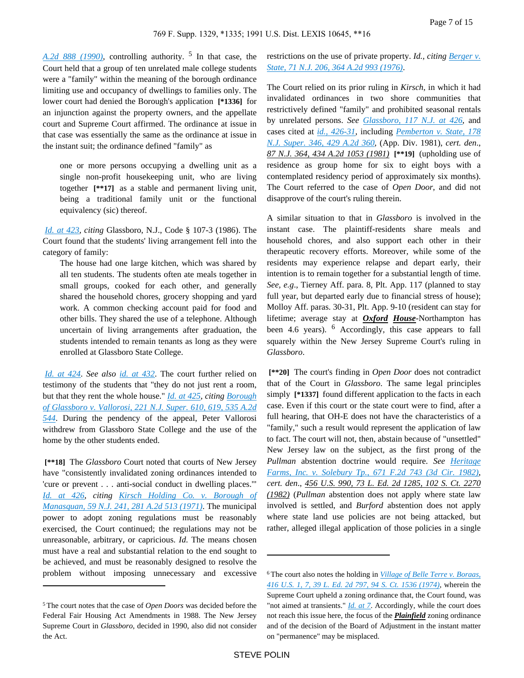*[A.2d 888 \(1990\)](https://advance.lexis.com/api/document?collection=cases&id=urn:contentItem:3S3J-VSG0-003C-P1D3-00000-00&context=)*, controlling authority. <sup>5</sup> In that case, the Court held that a group of ten unrelated male college students were a "family" within the meaning of the borough ordinance limiting use and occupancy of dwellings to families only. The lower court had denied the Borough's application **[\*1336]** for an injunction against the property owners, and the appellate court and Supreme Court affirmed. The ordinance at issue in that case was essentially the same as the ordinance at issue in the instant suit; the ordinance defined "family" as

one or more persons occupying a dwelling unit as a single non-profit housekeeping unit, who are living together **[\*\*17]** as a stable and permanent living unit, being a traditional family unit or the functional equivalency (sic) thereof.

*[Id. at 423](https://advance.lexis.com/api/document?collection=cases&id=urn:contentItem:3S3J-VSG0-003C-P1D3-00000-00&context=)*, *citing* Glassboro, N.J., Code § 107-3 (1986). The Court found that the students' living arrangement fell into the category of family:

The house had one large kitchen, which was shared by all ten students. The students often ate meals together in small groups, cooked for each other, and generally shared the household chores, grocery shopping and yard work. A common checking account paid for food and other bills. They shared the use of a telephone. Although uncertain of living arrangements after graduation, the students intended to remain tenants as long as they were enrolled at Glassboro State College.

*[Id. at 424](https://advance.lexis.com/api/document?collection=cases&id=urn:contentItem:3S3J-VSG0-003C-P1D3-00000-00&context=)*. *See also [id. at 432](https://advance.lexis.com/api/document?collection=cases&id=urn:contentItem:3S3J-VSG0-003C-P1D3-00000-00&context=)*. The court further relied on testimony of the students that "they do not just rent a room, but that they rent the whole house." *[Id. at 425](https://advance.lexis.com/api/document?collection=cases&id=urn:contentItem:3S3J-VSG0-003C-P1D3-00000-00&context=)*, *citing [Borough](https://advance.lexis.com/api/document?collection=cases&id=urn:contentItem:4HKM-65J0-TVVY-Y38H-00000-00&context=)  [of Glassboro v. Vallorosi, 221 N.J. Super. 610, 619, 535 A.2d](https://advance.lexis.com/api/document?collection=cases&id=urn:contentItem:4HKM-65J0-TVVY-Y38H-00000-00&context=)  [544](https://advance.lexis.com/api/document?collection=cases&id=urn:contentItem:4HKM-65J0-TVVY-Y38H-00000-00&context=)*. During the pendency of the appeal, Peter Vallorosi withdrew from Glassboro State College and the use of the home by the other students ended.

 **[\*\*18]** The *Glassboro* Court noted that courts of New Jersey have "consistently invalidated zoning ordinances intended to 'cure or prevent . . . anti-social conduct in dwelling places.'" *[Id. at 426](https://advance.lexis.com/api/document?collection=cases&id=urn:contentItem:3S3J-VSG0-003C-P1D3-00000-00&context=)*, *citing [Kirsch Holding Co. v. Borough of](https://advance.lexis.com/api/document?collection=cases&id=urn:contentItem:3RRM-XJW0-003C-N3N6-00000-00&context=)  [Manasquan, 59 N.J. 241, 281 A.2d 513 \(1971\)](https://advance.lexis.com/api/document?collection=cases&id=urn:contentItem:3RRM-XJW0-003C-N3N6-00000-00&context=)*. The municipal power to adopt zoning regulations must be reasonably exercised, the Court continued; the regulations may not be unreasonable, arbitrary, or capricious. *Id*. The means chosen must have a real and substantial relation to the end sought to be achieved, and must be reasonably designed to resolve the problem without imposing unnecessary and excessive restrictions on the use of private property. *Id., citing Berger v. [State, 71 N.J. 206, 364 A.2d 993 \(1976\)](https://advance.lexis.com/api/document?collection=cases&id=urn:contentItem:3RRM-X930-003C-N2V3-00000-00&context=)*.

The Court relied on its prior ruling in *Kirsch*, in which it had invalidated ordinances in two shore communities that restrictively defined "family" and prohibited seasonal rentals by unrelated persons. *See [Glassboro, 117 N.J. at 426](https://advance.lexis.com/api/document?collection=cases&id=urn:contentItem:3S3J-VSG0-003C-P1D3-00000-00&context=)*, and cases cited at *[id., 426-31](https://advance.lexis.com/api/document?collection=cases&id=urn:contentItem:3S3J-VSG0-003C-P1D3-00000-00&context=)*, including *[Pemberton v. State, 178](https://advance.lexis.com/api/document?collection=cases&id=urn:contentItem:3RRN-0680-003C-N37S-00000-00&context=)  [N.J. Super. 346, 429 A.2d 360](https://advance.lexis.com/api/document?collection=cases&id=urn:contentItem:3RRN-0680-003C-N37S-00000-00&context=)*, (App. Div. 1981), *cert. den*., *87 N.J. 364, 434 A.2d 1053 (1981)* **[\*\*19]** (upholding use of residence as group home for six to eight boys with a contemplated residency period of approximately six months). The Court referred to the case of *Open Door*, and did not disapprove of the court's ruling therein.

A similar situation to that in *Glassboro* is involved in the instant case. The plaintiff-residents share meals and household chores, and also support each other in their therapeutic recovery efforts. Moreover, while some of the residents may experience relapse and depart early, their intention is to remain together for a substantial length of time. *See, e.g*., Tierney Aff. para. 8, Plt. App. 117 (planned to stay full year, but departed early due to financial stress of house); Molloy Aff. paras. 30-31, Plt. App. 9-10 (resident can stay for lifetime; average stay at *Oxford House*-Northampton has been 4.6 years). <sup>6</sup> Accordingly, this case appears to fall squarely within the New Jersey Supreme Court's ruling in *Glassboro*.

 **[\*\*20]** The court's finding in *Open Door* does not contradict that of the Court in *Glassboro*. The same legal principles simply **[\*1337]** found different application to the facts in each case. Even if this court or the state court were to find, after a full hearing, that OH-E does not have the characteristics of a "family," such a result would represent the application of law to fact. The court will not, then, abstain because of "unsettled" New Jersey law on the subject, as the first prong of the *Pullman* abstention doctrine would require. *See [Heritage](https://advance.lexis.com/api/document?collection=cases&id=urn:contentItem:3S4X-3XD0-003B-G1X9-00000-00&context=)  [Farms, Inc. v. Solebury Tp., 671 F.2d 743 \(3d Cir. 1982\)](https://advance.lexis.com/api/document?collection=cases&id=urn:contentItem:3S4X-3XD0-003B-G1X9-00000-00&context=)*, *cert. den*., *456 U.S. 990, 73 L. Ed. 2d 1285, 102 S. Ct. 2270 (1982)* (*Pullman* abstention does not apply where state law involved is settled, and *Burford* abstention does not apply where state land use policies are not being attacked, but rather, alleged illegal application of those policies in a single

<sup>5</sup>The court notes that the case of *Open Doors* was decided before the Federal Fair Housing Act Amendments in 1988. The New Jersey Supreme Court in *Glassboro*, decided in 1990, also did not consider the Act.

<sup>6</sup>The court also notes the holding in *[Village of Belle Terre v. Boraas,](https://advance.lexis.com/api/document?collection=cases&id=urn:contentItem:3S4X-CDG0-003B-S3GN-00000-00&context=)  [416 U.S. 1, 7, 39 L. Ed. 2d 797, 94 S. Ct. 1536 \(1974\)](https://advance.lexis.com/api/document?collection=cases&id=urn:contentItem:3S4X-CDG0-003B-S3GN-00000-00&context=)*, wherein the Supreme Court upheld a zoning ordinance that, the Court found, was "not aimed at transients." *[Id. at 7](https://advance.lexis.com/api/document?collection=cases&id=urn:contentItem:3S4X-CDG0-003B-S3GN-00000-00&context=)*. Accordingly, while the court does not reach this issue here, the focus of the *Plainfield* zoning ordinance and of the decision of the Board of Adjustment in the instant matter on "permanence" may be misplaced.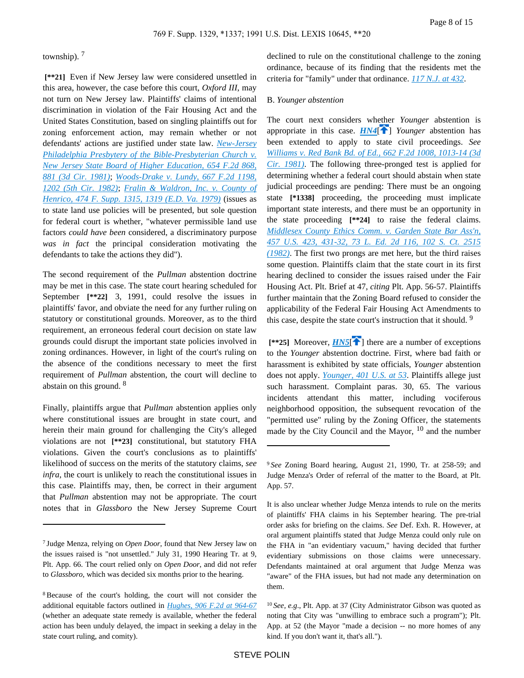# township). <sup>7</sup>

 **[\*\*21]** Even if New Jersey law were considered unsettled in this area, however, the case before this court, *Oxford III*, may not turn on New Jersey law. Plaintiffs' claims of intentional discrimination in violation of the Fair Housing Act and the United States Constitution, based on singling plaintiffs out for zoning enforcement action, may remain whether or not defendants' actions are justified under state law. *[New-Jersey](https://advance.lexis.com/api/document?collection=cases&id=urn:contentItem:3S4X-3B80-0039-W4CN-00000-00&context=)  [Philadelphia Presbytery of the Bible-Presbyterian Church v.](https://advance.lexis.com/api/document?collection=cases&id=urn:contentItem:3S4X-3B80-0039-W4CN-00000-00&context=)  [New Jersey State Board of Higher Education, 654 F.2d 868,](https://advance.lexis.com/api/document?collection=cases&id=urn:contentItem:3S4X-3B80-0039-W4CN-00000-00&context=)  [881 \(3d Cir. 1981\)](https://advance.lexis.com/api/document?collection=cases&id=urn:contentItem:3S4X-3B80-0039-W4CN-00000-00&context=)*; *[Woods-Drake v. Lundy, 667 F.2d 1198,](https://advance.lexis.com/api/document?collection=cases&id=urn:contentItem:3S4X-3WP0-003B-G1K8-00000-00&context=)  [1202 \(5th Cir. 1982\)](https://advance.lexis.com/api/document?collection=cases&id=urn:contentItem:3S4X-3WP0-003B-G1K8-00000-00&context=)*; *[Fralin & Waldron, Inc. v. County of](https://advance.lexis.com/api/document?collection=cases&id=urn:contentItem:3S4N-B0J0-0054-73R0-00000-00&context=)  [Henrico, 474 F. Supp. 1315, 1319 \(E.D. Va. 1979\)](https://advance.lexis.com/api/document?collection=cases&id=urn:contentItem:3S4N-B0J0-0054-73R0-00000-00&context=)* (issues as to state land use policies will be presented, but sole question for federal court is whether, "whatever permissible land use factors *could have been* considered, a discriminatory purpose *was in fact* the principal consideration motivating the defendants to take the actions they did").

The second requirement of the *Pullman* abstention doctrine may be met in this case. The state court hearing scheduled for September **[\*\*22]** 3, 1991, could resolve the issues in plaintiffs' favor, and obviate the need for any further ruling on statutory or constitutional grounds. Moreover, as to the third requirement, an erroneous federal court decision on state law grounds could disrupt the important state policies involved in zoning ordinances. However, in light of the court's ruling on the absence of the conditions necessary to meet the first requirement of *Pullman* abstention, the court will decline to abstain on this ground. <sup>8</sup>

Finally, plaintiffs argue that *Pullman* abstention applies only where constitutional issues are brought in state court, and herein their main ground for challenging the City's alleged violations are not **[\*\*23]** constitutional, but statutory FHA violations. Given the court's conclusions as to plaintiffs' likelihood of success on the merits of the statutory claims, *see infra*, the court is unlikely to reach the constitutional issues in this case. Plaintiffs may, then, be correct in their argument that *Pullman* abstention may not be appropriate. The court notes that in *Glassboro* the New Jersey Supreme Court declined to rule on the constitutional challenge to the zoning ordinance, because of its finding that the residents met the criteria for "family" under that ordinance. *[117 N.J. at 432](https://advance.lexis.com/api/document?collection=cases&id=urn:contentItem:3S3J-VSG0-003C-P1D3-00000-00&context=)*.

### B. *Younger abstention*

<span id="page-7-0"></span>The court next considers whether *Younger* abstention is appropriate in this case.  $HM4$ <sup>[ $\uparrow$ </sup>] *Younger* abstention has been extended to apply to state civil proceedings. *See [Williams v. Red Bank Bd. of Ed., 662 F.2d 1008, 1013-14 \(3d](https://advance.lexis.com/api/document?collection=cases&id=urn:contentItem:3S4W-Y9B0-0039-W29W-00000-00&context=)  [Cir. 1981\)](https://advance.lexis.com/api/document?collection=cases&id=urn:contentItem:3S4W-Y9B0-0039-W29W-00000-00&context=)*. The following three-pronged test is applied for determining whether a federal court should abstain when state judicial proceedings are pending: There must be an ongoing state **[\*1338]** proceeding, the proceeding must implicate important state interests, and there must be an opportunity in the state proceeding **[\*\*24]** to raise the federal claims. *[Middlesex County Ethics Comm. v. Garden State Bar Ass'n,](https://advance.lexis.com/api/document?collection=cases&id=urn:contentItem:3S4X-5FT0-003B-S4KF-00000-00&context=)  [457 U.S. 423, 431-32, 73 L. Ed. 2d 116, 102 S. Ct. 2515](https://advance.lexis.com/api/document?collection=cases&id=urn:contentItem:3S4X-5FT0-003B-S4KF-00000-00&context=)  [\(1982\)](https://advance.lexis.com/api/document?collection=cases&id=urn:contentItem:3S4X-5FT0-003B-S4KF-00000-00&context=)*. The first two prongs are met here, but the third raises some question. Plaintiffs claim that the state court in its first hearing declined to consider the issues raised under the Fair Housing Act. Plt. Brief at 47, *citing* Plt. App. 56-57. Plaintiffs further maintain that the Zoning Board refused to consider the applicability of the Federal Fair Housing Act Amendments to this case, despite the state court's instruction that it should. <sup>9</sup>

<span id="page-7-1"></span> $[**25]$  Moreover, *[HN5](https://advance.lexis.com/api/document?collection=cases&id=urn:contentItem:3S4N-BV70-001T-7071-00000-00&context=&link=clscc5)*<sup>[ $\triangle$ </sup>] there are a number of exceptions to the *Younger* abstention doctrine. First, where bad faith or harassment is exhibited by state officials, *Younger* abstention does not apply. *[Younger, 401 U.S. at 53](https://advance.lexis.com/api/document?collection=cases&id=urn:contentItem:3S4X-DRF0-003B-S48T-00000-00&context=)*. Plaintiffs allege just such harassment. Complaint paras. 30, 65. The various incidents attendant this matter, including vociferous neighborhood opposition, the subsequent revocation of the "permitted use" ruling by the Zoning Officer, the statements made by the City Council and the Mayor,  $10$  and the number

<sup>7</sup>Judge Menza, relying on *Open Door*, found that New Jersey law on the issues raised is "not unsettled." July 31, 1990 Hearing Tr. at 9, Plt. App. 66. The court relied only on *Open Door*, and did not refer to *Glassboro*, which was decided six months prior to the hearing.

<sup>8</sup>Because of the court's holding, the court will not consider the additional equitable factors outlined in *[Hughes, 906 F.2d at 964-67](https://advance.lexis.com/api/document?collection=cases&id=urn:contentItem:3S4X-49N0-003B-51F5-00000-00&context=)* (whether an adequate state remedy is available, whether the federal action has been unduly delayed, the impact in seeking a delay in the state court ruling, and comity).

<sup>9</sup>*See* Zoning Board hearing, August 21, 1990, Tr. at 258-59; and Judge Menza's Order of referral of the matter to the Board, at Plt. App. 57.

It is also unclear whether Judge Menza intends to rule on the merits of plaintiffs' FHA claims in his September hearing. The pre-trial order asks for briefing on the claims. *See* Def. Exh. R. However, at oral argument plaintiffs stated that Judge Menza could only rule on the FHA in "an evidentiary vacuum," having decided that further evidentiary submissions on those claims were unnecessary. Defendants maintained at oral argument that Judge Menza was "aware" of the FHA issues, but had not made any determination on them.

<sup>10</sup>*See, e.g*., Plt. App. at 37 (City Administrator Gibson was quoted as noting that City was "unwilling to embrace such a program"); Plt. App. at 52 (the Mayor "made a decision -- no more homes of any kind. If you don't want it, that's all.").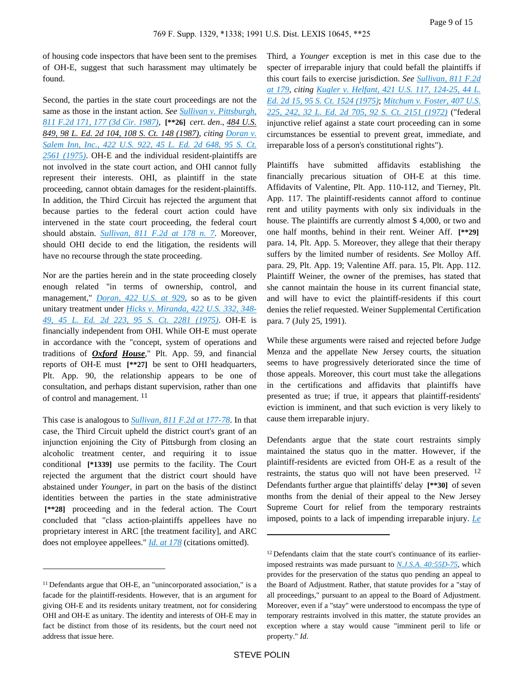of housing code inspectors that have been sent to the premises of OH-E, suggest that such harassment may ultimately be found.

Second, the parties in the state court proceedings are not the same as those in the instant action. *See [Sullivan v. Pittsburgh,](https://advance.lexis.com/api/document?collection=cases&id=urn:contentItem:3S4X-CT90-001B-K20M-00000-00&context=)  [811 F.2d 171, 177 \(3d Cir. 1987\)](https://advance.lexis.com/api/document?collection=cases&id=urn:contentItem:3S4X-CT90-001B-K20M-00000-00&context=)*, **[\*\*26]** *cert. den*., *484 U.S. 849, 98 L. Ed. 2d 104, 108 S. Ct. 148 (1987)*, *citing [Doran v.](https://advance.lexis.com/api/document?collection=cases&id=urn:contentItem:3S4X-BDV0-003B-S1TH-00000-00&context=)  [Salem Inn, Inc., 422 U.S. 922, 45 L. Ed. 2d 648, 95 S. Ct.](https://advance.lexis.com/api/document?collection=cases&id=urn:contentItem:3S4X-BDV0-003B-S1TH-00000-00&context=)  [2561 \(1975\)](https://advance.lexis.com/api/document?collection=cases&id=urn:contentItem:3S4X-BDV0-003B-S1TH-00000-00&context=)*. OH-E and the individual resident-plaintiffs are not involved in the state court action, and OHI cannot fully represent their interests. OHI, as plaintiff in the state proceeding, cannot obtain damages for the resident-plaintiffs. In addition, the Third Circuit has rejected the argument that because parties to the federal court action could have intervened in the state court proceeding, the federal court should abstain. *[Sullivan, 811 F.2d at 178 n. 7](https://advance.lexis.com/api/document?collection=cases&id=urn:contentItem:3S4X-CT90-001B-K20M-00000-00&context=)*. Moreover, should OHI decide to end the litigation, the residents will have no recourse through the state proceeding.

Nor are the parties herein and in the state proceeding closely enough related "in terms of ownership, control, and management," *[Doran, 422 U.S. at 929](https://advance.lexis.com/api/document?collection=cases&id=urn:contentItem:3S4X-BDV0-003B-S1TH-00000-00&context=)*, so as to be given unitary treatment under *[Hicks v. Miranda, 422 U.S. 332, 348-](https://advance.lexis.com/api/document?collection=cases&id=urn:contentItem:3S4X-BGN0-003B-S1WT-00000-00&context=) [49, 45 L. Ed. 2d 223, 95 S. Ct. 2281 \(1975\)](https://advance.lexis.com/api/document?collection=cases&id=urn:contentItem:3S4X-BGN0-003B-S1WT-00000-00&context=)*. OH-E is financially independent from OHI. While OH-E must operate in accordance with the "concept, system of operations and traditions of *Oxford House*," Plt. App. 59, and financial reports of OH-E must **[\*\*27]** be sent to OHI headquarters, Plt. App. 90, the relationship appears to be one of consultation, and perhaps distant supervision, rather than one of control and management. <sup>11</sup>

This case is analogous to *[Sullivan, 811 F.2d at 177-78](https://advance.lexis.com/api/document?collection=cases&id=urn:contentItem:3S4X-CT90-001B-K20M-00000-00&context=)*. In that case, the Third Circuit upheld the district court's grant of an injunction enjoining the City of Pittsburgh from closing an alcoholic treatment center, and requiring it to issue conditional **[\*1339]** use permits to the facility. The Court rejected the argument that the district court should have abstained under *Younger*, in part on the basis of the distinct identities between the parties in the state administrative  **[\*\*28]** proceeding and in the federal action. The Court concluded that "class action-plaintiffs appellees have no proprietary interest in ARC [the treatment facility], and ARC does not employee appellees." *[Id. at 178](https://advance.lexis.com/api/document?collection=cases&id=urn:contentItem:3S4X-CT90-001B-K20M-00000-00&context=)* (citations omitted).

Third, a *Younger* exception is met in this case due to the specter of irreparable injury that could befall the plaintiffs if this court fails to exercise jurisdiction. *See [Sullivan, 811 F.2d](https://advance.lexis.com/api/document?collection=cases&id=urn:contentItem:3S4X-CT90-001B-K20M-00000-00&context=)  [at 179](https://advance.lexis.com/api/document?collection=cases&id=urn:contentItem:3S4X-CT90-001B-K20M-00000-00&context=)*, *citing [Kugler v. Helfant, 421 U.S. 117, 124-25, 44 L.](https://advance.lexis.com/api/document?collection=cases&id=urn:contentItem:3S4X-BSK0-003B-S2SY-00000-00&context=)  [Ed. 2d 15, 95 S. Ct. 1524 \(1975\)](https://advance.lexis.com/api/document?collection=cases&id=urn:contentItem:3S4X-BSK0-003B-S2SY-00000-00&context=)*; *[Mitchum v. Foster, 407 U.S.](https://advance.lexis.com/api/document?collection=cases&id=urn:contentItem:3S4X-D6J0-003B-S2JM-00000-00&context=)  [225, 242, 32 L. Ed. 2d 705, 92 S. Ct. 2151 \(1972\)](https://advance.lexis.com/api/document?collection=cases&id=urn:contentItem:3S4X-D6J0-003B-S2JM-00000-00&context=)* ("federal injunctive relief against a state court proceeding can in some circumstances be essential to prevent great, immediate, and irreparable loss of a person's constitutional rights").

Plaintiffs have submitted affidavits establishing the financially precarious situation of OH-E at this time. Affidavits of Valentine, Plt. App. 110-112, and Tierney, Plt. App. 117. The plaintiff-residents cannot afford to continue rent and utility payments with only six individuals in the house. The plaintiffs are currently almost \$ 4,000, or two and one half months, behind in their rent. Weiner Aff. **[\*\*29]**  para. 14, Plt. App. 5. Moreover, they allege that their therapy suffers by the limited number of residents. *See* Molloy Aff. para. 29, Plt. App. 19; Valentine Aff. para. 15, Plt. App. 112. Plaintiff Weiner, the owner of the premises, has stated that she cannot maintain the house in its current financial state, and will have to evict the plaintiff-residents if this court denies the relief requested. Weiner Supplemental Certification para. 7 (July 25, 1991).

While these arguments were raised and rejected before Judge Menza and the appellate New Jersey courts, the situation seems to have progressively deteriorated since the time of those appeals. Moreover, this court must take the allegations in the certifications and affidavits that plaintiffs have presented as true; if true, it appears that plaintiff-residents' eviction is imminent, and that such eviction is very likely to cause them irreparable injury.

Defendants argue that the state court restraints simply maintained the status quo in the matter. However, if the plaintiff-residents are evicted from OH-E as a result of the restraints, the status quo will not have been preserved.  $^{12}$ Defendants further argue that plaintiffs' delay **[\*\*30]** of seven months from the denial of their appeal to the New Jersey Supreme Court for relief from the temporary restraints imposed, points to a lack of impending irreparable injury. *[Le](https://advance.lexis.com/api/document?collection=cases&id=urn:contentItem:3S4N-B3B0-0054-73TD-00000-00&context=)* 

<sup>11</sup>Defendants argue that OH-E, an "unincorporated association," is a facade for the plaintiff-residents. However, that is an argument for giving OH-E and its residents unitary treatment, not for considering OHI and OH-E as unitary. The identity and interests of OH-E may in fact be distinct from those of its residents, but the court need not address that issue here.

<sup>&</sup>lt;sup>12</sup> Defendants claim that the state court's continuance of its earlierimposed restraints was made pursuant to *[N.J.S.A. 40:55D-75](https://advance.lexis.com/api/document?collection=statutes-legislation&id=urn:contentItem:5F0Y-C771-6F13-044N-00000-00&context=)*, which provides for the preservation of the status quo pending an appeal to the Board of Adjustment. Rather, that statute provides for a "stay of all proceedings," pursuant to an appeal to the Board of Adjustment. Moreover, even if a "stay" were understood to encompass the type of temporary restraints involved in this matter, the statute provides an exception where a stay would cause "imminent peril to life or property." *Id*.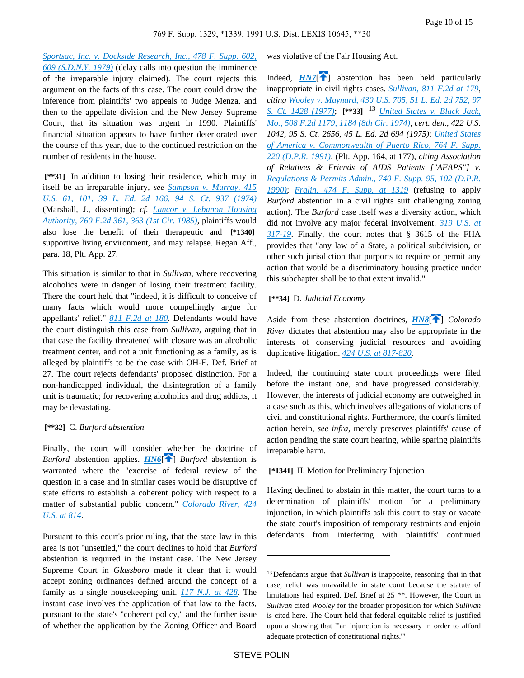*[Sportsac, Inc. v. Dockside Research, Inc., 478 F. Supp. 602,](https://advance.lexis.com/api/document?collection=cases&id=urn:contentItem:3S4N-B3B0-0054-73TD-00000-00&context=)  [609 \(S.D.N.Y. 1979\)](https://advance.lexis.com/api/document?collection=cases&id=urn:contentItem:3S4N-B3B0-0054-73TD-00000-00&context=)* (delay calls into question the imminence of the irreparable injury claimed). The court rejects this argument on the facts of this case. The court could draw the inference from plaintiffs' two appeals to Judge Menza, and then to the appellate division and the New Jersey Supreme Court, that its situation was urgent in 1990. Plaintiffs' financial situation appears to have further deteriorated over the course of this year, due to the continued restriction on the number of residents in the house.

 **[\*\*31]** In addition to losing their residence, which may in itself be an irreparable injury, *see [Sampson v. Murray, 415](https://advance.lexis.com/api/document?collection=cases&id=urn:contentItem:3S4X-CFC0-003B-S4D1-00000-00&context=)  [U.S. 61, 101, 39 L. Ed. 2d 166, 94 S. Ct. 937 \(1974\)](https://advance.lexis.com/api/document?collection=cases&id=urn:contentItem:3S4X-CFC0-003B-S4D1-00000-00&context=)* (Marshall, J., dissenting); *cf. [Lancor v. Lebanon Housing](https://advance.lexis.com/api/document?collection=cases&id=urn:contentItem:3S4X-HPH0-0039-P1TV-00000-00&context=)  [Authority, 760 F.2d 361, 363 \(1st Cir. 1985\)](https://advance.lexis.com/api/document?collection=cases&id=urn:contentItem:3S4X-HPH0-0039-P1TV-00000-00&context=)*, plaintiffs would also lose the benefit of their therapeutic and **[\*1340]**  supportive living environment, and may relapse. Regan Aff., para. 18, Plt. App. 27.

This situation is similar to that in *Sullivan*, where recovering alcoholics were in danger of losing their treatment facility. There the court held that "indeed, it is difficult to conceive of many facts which would more compellingly argue for appellants' relief." *[811 F.2d at 180](https://advance.lexis.com/api/document?collection=cases&id=urn:contentItem:3S4X-CT90-001B-K20M-00000-00&context=)*. Defendants would have the court distinguish this case from *Sullivan*, arguing that in that case the facility threatened with closure was an alcoholic treatment center, and not a unit functioning as a family, as is alleged by plaintiffs to be the case with OH-E. Def. Brief at 27. The court rejects defendants' proposed distinction. For a non-handicapped individual, the disintegration of a family unit is traumatic; for recovering alcoholics and drug addicts, it may be devastating.

#### **[\*\*32]** C. *Burford abstention*

<span id="page-9-0"></span>Finally, the court will consider whether the doctrine of *Burford* abstention applies. *[HN6](https://advance.lexis.com/api/document?collection=cases&id=urn:contentItem:3S4N-BV70-001T-7071-00000-00&context=&link=clscc6)*[ $\uparrow$ ] *Burford* abstention is warranted where the "exercise of federal review of the question in a case and in similar cases would be disruptive of state efforts to establish a coherent policy with respect to a matter of substantial public concern." *[Colorado River, 424](https://advance.lexis.com/api/document?collection=cases&id=urn:contentItem:3S4X-9YH0-003B-S3H5-00000-00&context=)  [U.S. at 814](https://advance.lexis.com/api/document?collection=cases&id=urn:contentItem:3S4X-9YH0-003B-S3H5-00000-00&context=)*.

Pursuant to this court's prior ruling, that the state law in this area is not "unsettled," the court declines to hold that *Burford* abstention is required in the instant case. The New Jersey Supreme Court in *Glassboro* made it clear that it would accept zoning ordinances defined around the concept of a family as a single housekeeping unit. *[117 N.J. at 428](https://advance.lexis.com/api/document?collection=cases&id=urn:contentItem:3S3J-VSG0-003C-P1D3-00000-00&context=)*. The instant case involves the application of that law to the facts, pursuant to the state's "coherent policy," and the further issue of whether the application by the Zoning Officer and Board

<span id="page-9-1"></span>was violative of the Fair Housing Act.

Indeed,  $HNT$  abstention has been held particularly inappropriate in civil rights cases. *[Sullivan, 811 F.2d at 179](https://advance.lexis.com/api/document?collection=cases&id=urn:contentItem:3S4X-CT90-001B-K20M-00000-00&context=)*, *citing [Wooley v. Maynard, 430 U.S. 705, 51 L. Ed. 2d 752, 97](https://advance.lexis.com/api/document?collection=cases&id=urn:contentItem:3S4X-9GX0-003B-S2PT-00000-00&context=)  [S. Ct. 1428 \(1977\)](https://advance.lexis.com/api/document?collection=cases&id=urn:contentItem:3S4X-9GX0-003B-S2PT-00000-00&context=)*; **[\*\*33]** <sup>13</sup> *[United States v. Black Jack,](https://advance.lexis.com/api/document?collection=cases&id=urn:contentItem:3S4W-T870-0039-X0PD-00000-00&context=)  [Mo., 508 F.2d 1179, 1184 \(8th Cir. 1974\)](https://advance.lexis.com/api/document?collection=cases&id=urn:contentItem:3S4W-T870-0039-X0PD-00000-00&context=)*, *cert. den*., *422 U.S. 1042, 95 S. Ct. 2656, 45 L. Ed. 2d 694 (1975)*; *[United States](https://advance.lexis.com/api/document?collection=cases&id=urn:contentItem:3S4N-D7W0-001T-714H-00000-00&context=)  [of America v. Commonwealth of Puerto Rico, 764 F. Supp.](https://advance.lexis.com/api/document?collection=cases&id=urn:contentItem:3S4N-D7W0-001T-714H-00000-00&context=)  [220 \(D.P.R. 1991\)](https://advance.lexis.com/api/document?collection=cases&id=urn:contentItem:3S4N-D7W0-001T-714H-00000-00&context=)*, (Plt. App. 164, at 177), *citing Association of Relatives & Friends of AIDS Patients ["AFAPS"] v. [Regulations & Permits Admin., 740 F. Supp. 95, 102 \(D.P.R.](https://advance.lexis.com/api/document?collection=cases&id=urn:contentItem:3S4N-8G10-0054-448X-00000-00&context=)  [1990\)](https://advance.lexis.com/api/document?collection=cases&id=urn:contentItem:3S4N-8G10-0054-448X-00000-00&context=)*; *[Fralin, 474 F. Supp. at 1319](https://advance.lexis.com/api/document?collection=cases&id=urn:contentItem:3S4N-B0J0-0054-73R0-00000-00&context=)* (refusing to apply *Burford* abstention in a civil rights suit challenging zoning action). The *Burford* case itself was a diversity action, which did not involve any major federal involvement. *[319 U.S. at](https://advance.lexis.com/api/document?collection=cases&id=urn:contentItem:3S4X-4GF0-003B-72NM-00000-00&context=)  [317-19](https://advance.lexis.com/api/document?collection=cases&id=urn:contentItem:3S4X-4GF0-003B-72NM-00000-00&context=)*. Finally, the court notes that § 3615 of the FHA provides that "any law of a State, a political subdivision, or other such jurisdiction that purports to require or permit any action that would be a discriminatory housing practice under this subchapter shall be to that extent invalid."

### <span id="page-9-2"></span> **[\*\*34]** D. *Judicial Economy*

Aside from these abstention doctrines, **[HN8](https://advance.lexis.com/api/document?collection=cases&id=urn:contentItem:3S4N-BV70-001T-7071-00000-00&context=&link=clscc8)[1]** Colorado *River* dictates that abstention may also be appropriate in the interests of conserving judicial resources and avoiding duplicative litigation. *[424 U.S. at 817-820](https://advance.lexis.com/api/document?collection=cases&id=urn:contentItem:3S4X-9YH0-003B-S3H5-00000-00&context=)*.

Indeed, the continuing state court proceedings were filed before the instant one, and have progressed considerably. However, the interests of judicial economy are outweighed in a case such as this, which involves allegations of violations of civil and constitutional rights. Furthermore, the court's limited action herein, *see infra*, merely preserves plaintiffs' cause of action pending the state court hearing, while sparing plaintiffs irreparable harm.

### **[\*1341]** II. Motion for Preliminary Injunction

Having declined to abstain in this matter, the court turns to a determination of plaintiffs' motion for a preliminary injunction, in which plaintiffs ask this court to stay or vacate the state court's imposition of temporary restraints and enjoin defendants from interfering with plaintiffs' continued

<sup>13</sup>Defendants argue that *Sullivan* is inapposite, reasoning that in that case, relief was unavailable in state court because the statute of limitations had expired. Def. Brief at 25 \*\*. However, the Court in *Sullivan* cited *Wooley* for the broader proposition for which *Sullivan* is cited here. The Court held that federal equitable relief is justified upon a showing that "'an injunction is necessary in order to afford adequate protection of constitutional rights.'"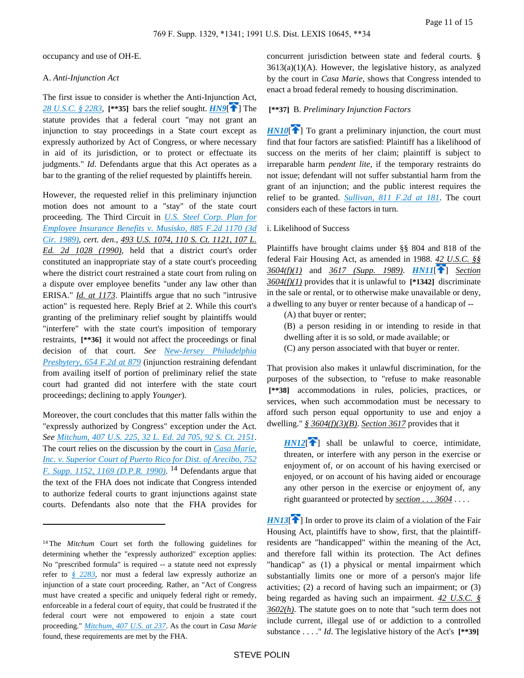occupancy and use of OH-E.

#### A. *Anti-Injunction Act*

The first issue to consider is whether the Anti-Injunction Act, *[28 U.S.C. § 2283](https://advance.lexis.com/api/document?collection=statutes-legislation&id=urn:contentItem:4YF7-GW11-NRF4-41P1-00000-00&context=)*, **[\*\*35]** bars the relief sought. *[HN9](https://advance.lexis.com/api/document?collection=cases&id=urn:contentItem:3S4N-BV70-001T-7071-00000-00&context=&link=clscc9)*[ [\]](#page-1-1) The statute provides that a federal court "may not grant an injunction to stay proceedings in a State court except as expressly authorized by Act of Congress, or where necessary in aid of its jurisdiction, or to protect or effectuate its judgments." *Id*. Defendants argue that this Act operates as a bar to the granting of the relief requested by plaintiffs herein.

However, the requested relief in this preliminary injunction motion does not amount to a "stay" of the state court proceeding. The Third Circuit in *[U.S. Steel Corp. Plan for](https://advance.lexis.com/api/document?collection=cases&id=urn:contentItem:3S4X-98R0-003B-50G4-00000-00&context=)  [Employee Insurance Benefits v. Musisko, 885 F.2d 1170 \(3d](https://advance.lexis.com/api/document?collection=cases&id=urn:contentItem:3S4X-98R0-003B-50G4-00000-00&context=)  [Cir. 1989\)](https://advance.lexis.com/api/document?collection=cases&id=urn:contentItem:3S4X-98R0-003B-50G4-00000-00&context=)*, *cert. den*., *493 U.S. 1074, 110 S. Ct. 1121, 107 L. Ed. 2d 1028 (1990)*, held that a district court's order constituted an inappropriate stay of a state court's proceeding where the district court restrained a state court from ruling on a dispute over employee benefits "under any law other than ERISA." *Id. at 1173*. Plaintiffs argue that no such "intrusive action" is requested here. Reply Brief at 2. While this court's granting of the preliminary relief sought by plaintiffs would "interfere" with the state court's imposition of temporary restraints, **[\*\*36]** it would not affect the proceedings or final decision of that court. *See [New-Jersey Philadelphia](https://advance.lexis.com/api/document?collection=cases&id=urn:contentItem:3S4X-3B80-0039-W4CN-00000-00&context=)  [Presbytery, 654 F.2d at 879](https://advance.lexis.com/api/document?collection=cases&id=urn:contentItem:3S4X-3B80-0039-W4CN-00000-00&context=)* (injunction restraining defendant from availing itself of portion of preliminary relief the state court had granted did not interfere with the state court proceedings; declining to apply *Younger*).

Moreover, the court concludes that this matter falls within the "expressly authorized by Congress" exception under the Act. *See [Mitchum, 407 U.S. 225, 32 L. Ed. 2d 705, 92 S. Ct. 2151](https://advance.lexis.com/api/document?collection=cases&id=urn:contentItem:3S4X-D6J0-003B-S2JM-00000-00&context=)*. The court relies on the discussion by the court in *[Casa Marie,](https://advance.lexis.com/api/document?collection=cases&id=urn:contentItem:3S4N-73H0-0054-440V-00000-00&context=)  [Inc. v. Superior Court of Puerto Rico for Dist. of Arecibo, 752](https://advance.lexis.com/api/document?collection=cases&id=urn:contentItem:3S4N-73H0-0054-440V-00000-00&context=)  [F. Supp. 1152, 1169 \(D.P.R. 1990\)](https://advance.lexis.com/api/document?collection=cases&id=urn:contentItem:3S4N-73H0-0054-440V-00000-00&context=)*. <sup>14</sup> Defendants argue that the text of the FHA does not indicate that Congress intended to authorize federal courts to grant injunctions against state courts. Defendants also note that the FHA provides for

concurrent jurisdiction between state and federal courts. §  $3613(a)(1)(A)$ . However, the legislative history, as analyzed by the court in *Casa Marie*, shows that Congress intended to enact a broad federal remedy to housing discrimination.

### <span id="page-10-1"></span><span id="page-10-0"></span> **[\*\*37]** B. *Preliminary Injunction Factors*

 $HN10$ <sup> $\uparrow$ </sup>] To grant a preliminary injunction, the court must find that four factors are satisfied: Plaintiff has a likelihood of success on the merits of her claim; plaintiff is subject to irreparable harm *pendent lite*, if the temporary restraints do not issue; defendant will not suffer substantial harm from the grant of an injunction; and the public interest requires the relief to be granted. *[Sullivan, 811 F.2d at 181](https://advance.lexis.com/api/document?collection=cases&id=urn:contentItem:3S4X-CT90-001B-K20M-00000-00&context=)*. The court considers each of these factors in turn.

### i. Likelihood of Success

Plaintiffs have brought claims under §§ 804 and 818 of the federal Fair Housing Act, as amended in 1988. *42 U.S.C. §§ 3604(f)(1)* and *3617 (Supp. 1989)*. *[HN11](https://advance.lexis.com/api/document?collection=cases&id=urn:contentItem:3S4N-BV70-001T-7071-00000-00&context=&link=clscc11)*[ [\]](#page-2-0) *Section 3604(f)(1)* provides that it is unlawful to **[\*1342]** discriminate in the sale or rental, or to otherwise make unavailable or deny, a dwelling to any buyer or renter because of a handicap of --

<span id="page-10-2"></span>(A) that buyer or renter;

- (B) a person residing in or intending to reside in that
- dwelling after it is so sold, or made available; or
- (C) any person associated with that buyer or renter.

That provision also makes it unlawful discrimination, for the purposes of the subsection, to "refuse to make reasonable  **[\*\*38]** accommodations in rules, policies, practices, or services, when such accommodation must be necessary to afford such person equal opportunity to use and enjoy a dwelling." *§ 3604(f)(3)(B)*. *Section 3617* provides that it

<span id="page-10-3"></span> $HNI2$ <sup>[\[](#page-2-1) $\uparrow$ </sup>] shall be unlawful to coerce, intimidate, threaten, or interfere with any person in the exercise or enjoyment of, or on account of his having exercised or enjoyed, or on account of his having aided or encourage any other person in the exercise or enjoyment of, any right guaranteed or protected by *section . . . 3604* . . . .

<span id="page-10-4"></span> $HNI3$ <sup>[\[](#page-2-2)1]</sup> In order to prove its claim of a violation of the Fair Housing Act, plaintiffs have to show, first, that the plaintiffresidents are "handicapped" within the meaning of the Act, and therefore fall within its protection. The Act defines "handicap" as (1) a physical or mental impairment which substantially limits one or more of a person's major life activities; (2) a record of having such an impairment; or (3) being regarded as having such an impairment. *42 U.S.C. § 3602(h)*. The statute goes on to note that "such term does not include current, illegal use of or addiction to a controlled substance . . . ." *Id*. The legislative history of the Act's **[\*\*39]** 

<sup>14</sup>The *Mitchum* Court set forth the following guidelines for determining whether the "expressly authorized" exception applies: No "prescribed formula" is required -- a statute need not expressly refer to *[§ 2283](https://advance.lexis.com/api/document?collection=statutes-legislation&id=urn:contentItem:4YF7-GW11-NRF4-41P1-00000-00&context=)*, nor must a federal law expressly authorize an injunction of a state court proceeding. Rather, an "Act of Congress must have created a specific and uniquely federal right or remedy, enforceable in a federal court of equity, that could be frustrated if the federal court were not empowered to enjoin a state court proceeding." *[Mitchum, 407 U.S. at 237](https://advance.lexis.com/api/document?collection=cases&id=urn:contentItem:3S4X-D6J0-003B-S2JM-00000-00&context=)*. As the court in *Casa Marie* found, these requirements are met by the FHA.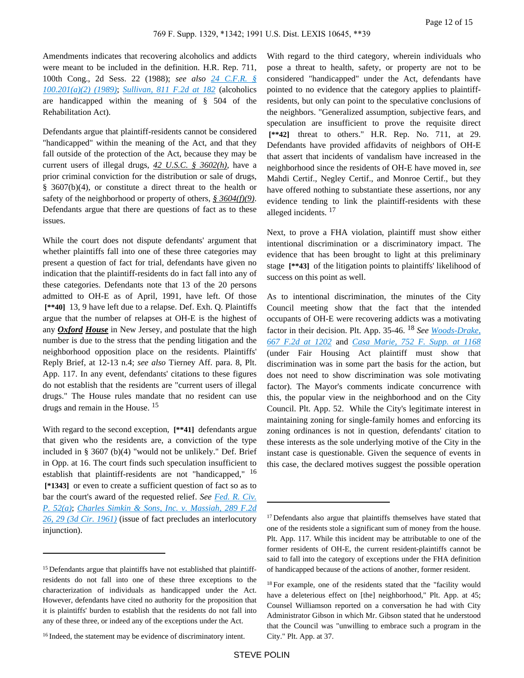Amendments indicates that recovering alcoholics and addicts were meant to be included in the definition. H.R. Rep. 711, 100th Cong., 2d Sess. 22 (1988); *see also [24 C.F.R. §](https://advance.lexis.com/api/document?collection=administrative-codes&id=urn:contentItem:5MD7-1KX0-008G-Y3M4-00000-00&context=)  [100.201\(a\)\(2\) \(1989\)](https://advance.lexis.com/api/document?collection=administrative-codes&id=urn:contentItem:5MD7-1KX0-008G-Y3M4-00000-00&context=)*; *[Sullivan, 811 F.2d at 182](https://advance.lexis.com/api/document?collection=cases&id=urn:contentItem:3S4X-CT90-001B-K20M-00000-00&context=)* (alcoholics are handicapped within the meaning of § 504 of the Rehabilitation Act).

Defendants argue that plaintiff-residents cannot be considered "handicapped" within the meaning of the Act, and that they fall outside of the protection of the Act, because they may be current users of illegal drugs, *42 U.S.C. § 3602(h)*, have a prior criminal conviction for the distribution or sale of drugs, § 3607(b)(4), or constitute a direct threat to the health or safety of the neighborhood or property of others, *§ 3604(f)(9)*. Defendants argue that there are questions of fact as to these issues.

While the court does not dispute defendants' argument that whether plaintiffs fall into one of these three categories may present a question of fact for trial, defendants have given no indication that the plaintiff-residents do in fact fall into any of these categories. Defendants note that 13 of the 20 persons admitted to OH-E as of April, 1991, have left. Of those  **[\*\*40]** 13, 9 have left due to a relapse. Def. Exh. Q. Plaintiffs argue that the number of relapses at OH-E is the highest of any *Oxford House* in New Jersey, and postulate that the high number is due to the stress that the pending litigation and the neighborhood opposition place on the residents. Plaintiffs' Reply Brief, at 12-13 n.4; *see also* Tierney Aff. para. 8, Plt. App. 117. In any event, defendants' citations to these figures do not establish that the residents are "current users of illegal drugs." The House rules mandate that no resident can use drugs and remain in the House. <sup>15</sup>

With regard to the second exception, **[\*\*41]** defendants argue that given who the residents are, a conviction of the type included in § 3607 (b)(4) "would not be unlikely." Def. Brief in Opp. at 16. The court finds such speculation insufficient to establish that plaintiff-residents are not "handicapped," <sup>16</sup>  **[\*1343]** or even to create a sufficient question of fact so as to bar the court's award of the requested relief. *See [Fed. R. Civ.](https://advance.lexis.com/api/document?collection=statutes-legislation&id=urn:contentItem:5GYC-22N1-6N19-F032-00000-00&context=)  [P. 52\(a\)](https://advance.lexis.com/api/document?collection=statutes-legislation&id=urn:contentItem:5GYC-22N1-6N19-F032-00000-00&context=)*; *[Charles Simkin & Sons, Inc. v. Massiah, 289 F.2d](https://advance.lexis.com/api/document?collection=cases&id=urn:contentItem:3S4X-4R50-0039-Y53J-00000-00&context=)  [26, 29 \(3d Cir. 1961\)](https://advance.lexis.com/api/document?collection=cases&id=urn:contentItem:3S4X-4R50-0039-Y53J-00000-00&context=)* (issue of fact precludes an interlocutory injunction).

With regard to the third category, wherein individuals who pose a threat to health, safety, or property are not to be considered "handicapped" under the Act, defendants have pointed to no evidence that the category applies to plaintiffresidents, but only can point to the speculative conclusions of the neighbors. "Generalized assumption, subjective fears, and speculation are insufficient to prove the requisite direct  **[\*\*42]** threat to others." H.R. Rep. No. 711, at 29. Defendants have provided affidavits of neighbors of OH-E that assert that incidents of vandalism have increased in the neighborhood since the residents of OH-E have moved in, *see* Mahdi Certif., Negley Certif., and Monroe Certif., but they have offered nothing to substantiate these assertions, nor any evidence tending to link the plaintiff-residents with these alleged incidents. <sup>17</sup>

Next, to prove a FHA violation, plaintiff must show either intentional discrimination or a discriminatory impact. The evidence that has been brought to light at this preliminary stage **[\*\*43]** of the litigation points to plaintiffs' likelihood of success on this point as well.

As to intentional discrimination, the minutes of the City Council meeting show that the fact that the intended occupants of OH-E were recovering addicts was a motivating factor in their decision. Plt. App. 35-46. <sup>18</sup> *See [Woods-Drake,](https://advance.lexis.com/api/document?collection=cases&id=urn:contentItem:3S4X-3WP0-003B-G1K8-00000-00&context=)  [667 F.2d at 1202](https://advance.lexis.com/api/document?collection=cases&id=urn:contentItem:3S4X-3WP0-003B-G1K8-00000-00&context=)* and *[Casa Marie, 752 F. Supp. at 1168](https://advance.lexis.com/api/document?collection=cases&id=urn:contentItem:3S4N-73H0-0054-440V-00000-00&context=)* (under Fair Housing Act plaintiff must show that discrimination was in some part the basis for the action, but does not need to show discrimination was sole motivating factor). The Mayor's comments indicate concurrence with this, the popular view in the neighborhood and on the City Council. Plt. App. 52. While the City's legitimate interest in maintaining zoning for single-family homes and enforcing its zoning ordinances is not in question, defendants' citation to these interests as the sole underlying motive of the City in the instant case is questionable. Given the sequence of events in this case, the declared motives suggest the possible operation

<sup>&</sup>lt;sup>15</sup> Defendants argue that plaintiffs have not established that plaintiffresidents do not fall into one of these three exceptions to the characterization of individuals as handicapped under the Act. However, defendants have cited no authority for the proposition that it is plaintiffs' burden to establish that the residents do not fall into any of these three, or indeed any of the exceptions under the Act.

<sup>&</sup>lt;sup>16</sup> Indeed, the statement may be evidence of discriminatory intent.

<sup>&</sup>lt;sup>17</sup> Defendants also argue that plaintiffs themselves have stated that one of the residents stole a significant sum of money from the house. Plt. App. 117. While this incident may be attributable to one of the former residents of OH-E, the current resident-plaintiffs cannot be said to fall into the category of exceptions under the FHA definition of handicapped because of the actions of another, former resident.

<sup>&</sup>lt;sup>18</sup> For example, one of the residents stated that the "facility would have a deleterious effect on [the] neighborhood," Plt. App. at 45; Counsel Williamson reported on a conversation he had with City Administrator Gibson in which Mr. Gibson stated that he understood that the Council was "unwilling to embrace such a program in the City." Plt. App. at 37.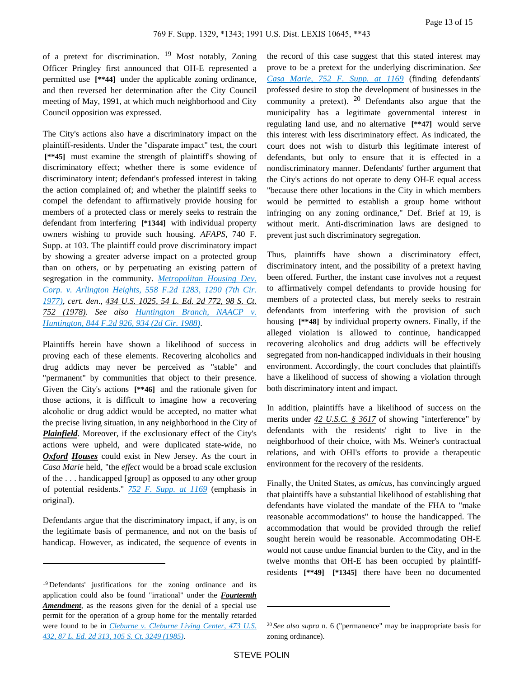of a pretext for discrimination. 19 Most notably, Zoning Officer Pringley first announced that OH-E represented a permitted use **[\*\*44]** under the applicable zoning ordinance, and then reversed her determination after the City Council meeting of May, 1991, at which much neighborhood and City Council opposition was expressed.

The City's actions also have a discriminatory impact on the plaintiff-residents. Under the "disparate impact" test, the court  **[\*\*45]** must examine the strength of plaintiff's showing of discriminatory effect; whether there is some evidence of discriminatory intent; defendant's professed interest in taking the action complained of; and whether the plaintiff seeks to compel the defendant to affirmatively provide housing for members of a protected class or merely seeks to restrain the defendant from interfering **[\*1344]** with individual property owners wishing to provide such housing. *AFAPS*, 740 F. Supp. at 103. The plaintiff could prove discriminatory impact by showing a greater adverse impact on a protected group than on others, or by perpetuating an existing pattern of segregation in the community. *[Metropolitan Housing Dev.](https://advance.lexis.com/api/document?collection=cases&id=urn:contentItem:3S4X-0J00-0039-M1XV-00000-00&context=)  [Corp. v. Arlington Heights, 558 F.2d 1283, 1290 \(7th Cir.](https://advance.lexis.com/api/document?collection=cases&id=urn:contentItem:3S4X-0J00-0039-M1XV-00000-00&context=)  [1977\)](https://advance.lexis.com/api/document?collection=cases&id=urn:contentItem:3S4X-0J00-0039-M1XV-00000-00&context=)*, *cert. den*., *434 U.S. 1025, 54 L. Ed. 2d 772, 98 S. Ct. 752 (1978)*. *See also [Huntington Branch, NAACP v.](https://advance.lexis.com/api/document?collection=cases&id=urn:contentItem:3S4X-1KC0-001B-K1HF-00000-00&context=)  [Huntington, 844 F.2d 926, 934 \(2d Cir. 1988\)](https://advance.lexis.com/api/document?collection=cases&id=urn:contentItem:3S4X-1KC0-001B-K1HF-00000-00&context=)*.

Plaintiffs herein have shown a likelihood of success in proving each of these elements. Recovering alcoholics and drug addicts may never be perceived as "stable" and "permanent" by communities that object to their presence. Given the City's actions **[\*\*46]** and the rationale given for those actions, it is difficult to imagine how a recovering alcoholic or drug addict would be accepted, no matter what the precise living situation, in any neighborhood in the City of *Plainfield*. Moreover, if the exclusionary effect of the City's actions were upheld, and were duplicated state-wide, no *Oxford Houses* could exist in New Jersey. As the court in *Casa Marie* held, "the *effect* would be a broad scale exclusion of the . . . handicapped [group] as opposed to any other group of potential residents." *[752 F. Supp. at 1169](https://advance.lexis.com/api/document?collection=cases&id=urn:contentItem:3S4N-73H0-0054-440V-00000-00&context=)* (emphasis in original).

Defendants argue that the discriminatory impact, if any, is on the legitimate basis of permanence, and not on the basis of handicap. However, as indicated, the sequence of events in

the record of this case suggest that this stated interest may prove to be a pretext for the underlying discrimination. *See [Casa Marie, 752 F. Supp. at 1169](https://advance.lexis.com/api/document?collection=cases&id=urn:contentItem:3S4N-73H0-0054-440V-00000-00&context=)* (finding defendants' professed desire to stop the development of businesses in the community a pretext).  $20$  Defendants also argue that the municipality has a legitimate governmental interest in regulating land use, and no alternative **[\*\*47]** would serve this interest with less discriminatory effect. As indicated, the court does not wish to disturb this legitimate interest of defendants, but only to ensure that it is effected in a nondiscriminatory manner. Defendants' further argument that the City's actions do not operate to deny OH-E equal access "because there other locations in the City in which members would be permitted to establish a group home without infringing on any zoning ordinance," Def. Brief at 19, is without merit. Anti-discrimination laws are designed to prevent just such discriminatory segregation.

Thus, plaintiffs have shown a discriminatory effect, discriminatory intent, and the possibility of a pretext having been offered. Further, the instant case involves not a request to affirmatively compel defendants to provide housing for members of a protected class, but merely seeks to restrain defendants from interfering with the provision of such housing **[\*\*48]** by individual property owners. Finally, if the alleged violation is allowed to continue, handicapped recovering alcoholics and drug addicts will be effectively segregated from non-handicapped individuals in their housing environment. Accordingly, the court concludes that plaintiffs have a likelihood of success of showing a violation through both discriminatory intent and impact.

In addition, plaintiffs have a likelihood of success on the merits under *42 U.S.C. § 3617* of showing "interference" by defendants with the residents' right to live in the neighborhood of their choice, with Ms. Weiner's contractual relations, and with OHI's efforts to provide a therapeutic environment for the recovery of the residents.

Finally, the United States, as *amicus*, has convincingly argued that plaintiffs have a substantial likelihood of establishing that defendants have violated the mandate of the FHA to "make reasonable accommodations" to house the handicapped. The accommodation that would be provided through the relief sought herein would be reasonable. Accommodating OH-E would not cause undue financial burden to the City, and in the twelve months that OH-E has been occupied by plaintiffresidents **[\*\*49] [\*1345]** there have been no documented

<sup>&</sup>lt;sup>19</sup>Defendants' justifications for the zoning ordinance and its application could also be found "irrational" under the *Fourteenth Amendment*, as the reasons given for the denial of a special use permit for the operation of a group home for the mentally retarded were found to be in *[Cleburne v. Cleburne Living Center, 473 U.S.](https://advance.lexis.com/api/document?collection=cases&id=urn:contentItem:3S4X-9Y50-0039-N48B-00000-00&context=)  [432, 87 L. Ed. 2d 313, 105 S. Ct. 3249 \(1985\)](https://advance.lexis.com/api/document?collection=cases&id=urn:contentItem:3S4X-9Y50-0039-N48B-00000-00&context=)*.

<sup>20</sup>*See also supra* n. 6 ("permanence" may be inappropriate basis for zoning ordinance).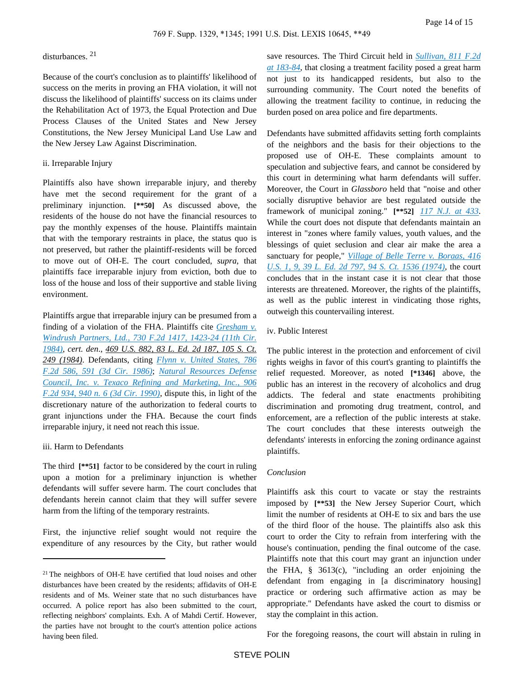# disturbances. <sup>21</sup>

Because of the court's conclusion as to plaintiffs' likelihood of success on the merits in proving an FHA violation, it will not discuss the likelihood of plaintiffs' success on its claims under the Rehabilitation Act of 1973, the Equal Protection and Due Process Clauses of the United States and New Jersey Constitutions, the New Jersey Municipal Land Use Law and the New Jersey Law Against Discrimination.

### ii. Irreparable Injury

Plaintiffs also have shown irreparable injury, and thereby have met the second requirement for the grant of a preliminary injunction. **[\*\*50]** As discussed above, the residents of the house do not have the financial resources to pay the monthly expenses of the house. Plaintiffs maintain that with the temporary restraints in place, the status quo is not preserved, but rather the plaintiff-residents will be forced to move out of OH-E. The court concluded, *supra*, that plaintiffs face irreparable injury from eviction, both due to loss of the house and loss of their supportive and stable living environment.

Plaintiffs argue that irreparable injury can be presumed from a finding of a violation of the FHA. Plaintiffs cite *[Gresham v.](https://advance.lexis.com/api/document?collection=cases&id=urn:contentItem:3S4W-X5G0-003B-G0DD-00000-00&context=)  [Windrush Partners, Ltd., 730 F.2d 1417, 1423-24 \(11th Cir.](https://advance.lexis.com/api/document?collection=cases&id=urn:contentItem:3S4W-X5G0-003B-G0DD-00000-00&context=)  [1984\)](https://advance.lexis.com/api/document?collection=cases&id=urn:contentItem:3S4W-X5G0-003B-G0DD-00000-00&context=)*, *cert. den*., *469 U.S. 882, 83 L. Ed. 2d 187, 105 S. Ct. 249 (1984)*. Defendants, citing *[Flynn v. United States, 786](https://advance.lexis.com/api/document?collection=cases&id=urn:contentItem:3S4X-8570-0039-P19C-00000-00&context=)  [F.2d 586, 591 \(3d Cir. 1986\)](https://advance.lexis.com/api/document?collection=cases&id=urn:contentItem:3S4X-8570-0039-P19C-00000-00&context=)*; *[Natural Resources Defense](https://advance.lexis.com/api/document?collection=cases&id=urn:contentItem:3S4X-4JN0-003B-527J-00000-00&context=)  [Council, Inc. v. Texaco Refining and Marketing, Inc., 906](https://advance.lexis.com/api/document?collection=cases&id=urn:contentItem:3S4X-4JN0-003B-527J-00000-00&context=)  [F.2d 934, 940 n. 6 \(3d Cir. 1990\)](https://advance.lexis.com/api/document?collection=cases&id=urn:contentItem:3S4X-4JN0-003B-527J-00000-00&context=)*, dispute this, in light of the discretionary nature of the authorization to federal courts to grant injunctions under the FHA. Because the court finds irreparable injury, it need not reach this issue.

### iii. Harm to Defendants

The third **[\*\*51]** factor to be considered by the court in ruling upon a motion for a preliminary injunction is whether defendants will suffer severe harm. The court concludes that defendants herein cannot claim that they will suffer severe harm from the lifting of the temporary restraints.

First, the injunctive relief sought would not require the expenditure of any resources by the City, but rather would save resources. The Third Circuit held in *[Sullivan, 811 F.2d](https://advance.lexis.com/api/document?collection=cases&id=urn:contentItem:3S4X-CT90-001B-K20M-00000-00&context=)  [at 183-84](https://advance.lexis.com/api/document?collection=cases&id=urn:contentItem:3S4X-CT90-001B-K20M-00000-00&context=)*, that closing a treatment facility posed a great harm not just to its handicapped residents, but also to the surrounding community. The Court noted the benefits of allowing the treatment facility to continue, in reducing the burden posed on area police and fire departments.

Defendants have submitted affidavits setting forth complaints of the neighbors and the basis for their objections to the proposed use of OH-E. These complaints amount to speculation and subjective fears, and cannot be considered by this court in determining what harm defendants will suffer. Moreover, the Court in *Glassboro* held that "noise and other socially disruptive behavior are best regulated outside the framework of municipal zoning." **[\*\*52]** *[117 N.J. at 433](https://advance.lexis.com/api/document?collection=cases&id=urn:contentItem:3S3J-VSG0-003C-P1D3-00000-00&context=)*. While the court does not dispute that defendants maintain an interest in "zones where family values, youth values, and the blessings of quiet seclusion and clear air make the area a sanctuary for people," *[Village of Belle Terre v. Boraas, 416](https://advance.lexis.com/api/document?collection=cases&id=urn:contentItem:3S4X-CDG0-003B-S3GN-00000-00&context=)  [U.S. 1, 9, 39 L. Ed. 2d 797, 94 S. Ct. 1536 \(1974\)](https://advance.lexis.com/api/document?collection=cases&id=urn:contentItem:3S4X-CDG0-003B-S3GN-00000-00&context=)*, the court concludes that in the instant case it is not clear that those interests are threatened. Moreover, the rights of the plaintiffs, as well as the public interest in vindicating those rights, outweigh this countervailing interest.

### iv. Public Interest

The public interest in the protection and enforcement of civil rights weighs in favor of this court's granting to plaintiffs the relief requested. Moreover, as noted **[\*1346]** above, the public has an interest in the recovery of alcoholics and drug addicts. The federal and state enactments prohibiting discrimination and promoting drug treatment, control, and enforcement, are a reflection of the public interests at stake. The court concludes that these interests outweigh the defendants' interests in enforcing the zoning ordinance against plaintiffs.

### *Conclusion*

Plaintiffs ask this court to vacate or stay the restraints imposed by **[\*\*53]** the New Jersey Superior Court, which limit the number of residents at OH-E to six and bars the use of the third floor of the house. The plaintiffs also ask this court to order the City to refrain from interfering with the house's continuation, pending the final outcome of the case. Plaintiffs note that this court may grant an injunction under the FHA, § 3613(c), "including an order enjoining the defendant from engaging in [a discriminatory housing] practice or ordering such affirmative action as may be appropriate." Defendants have asked the court to dismiss or stay the complaint in this action.

For the foregoing reasons, the court will abstain in ruling in

<sup>&</sup>lt;sup>21</sup> The neighbors of OH-E have certified that loud noises and other disturbances have been created by the residents; affidavits of OH-E residents and of Ms. Weiner state that no such disturbances have occurred. A police report has also been submitted to the court, reflecting neighbors' complaints. Exh. A of Mahdi Certif. However, the parties have not brought to the court's attention police actions having been filed.